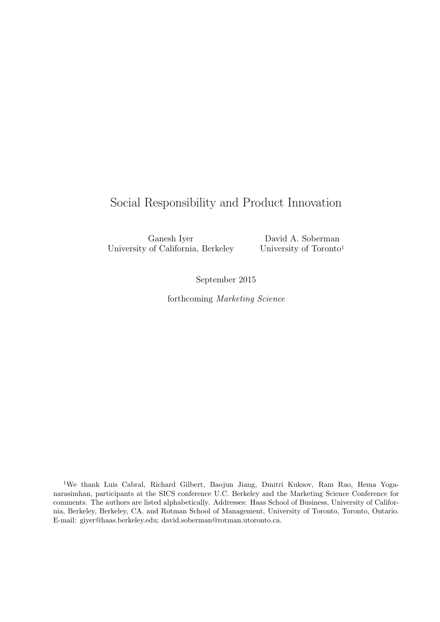# Social Responsibility and Product Innovation

Ganesh Iyer University of California, Berkeley

David A. Soberman University of Toronto<sup>1</sup>

September 2015

forthcoming Marketing Science

<sup>1</sup>We thank Luis Cabral, Richard Gilbert, Baojun Jiang, Dmitri Kuksov, Ram Rao, Hema Yoganarasimhan, participants at the SICS conference U.C. Berkeley and the Marketing Science Conference for comments. The authors are listed alphabetically. Addresses: Haas School of Business, University of California, Berkeley, Berkeley, CA. and Rotman School of Management, University of Toronto, Toronto, Ontario. E-mail: giyer@haas.berkeley.edu; david.soberman@rotman.utoronto.ca.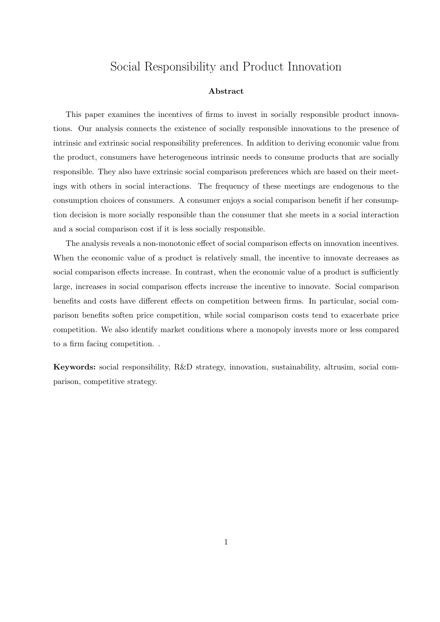# Social Responsibility and Product Innovation

#### Abstract

This paper examines the incentives of firms to invest in socially responsible product innovations. Our analysis connects the existence of socially responsible innovations to the presence of intrinsic and extrinsic social responsibility preferences. In addition to deriving economic value from the product, consumers have heterogeneous intrinsic needs to consume products that are socially responsible. They also have extrinsic social comparison preferences which are based on their meetings with others in social interactions. The frequency of these meetings are endogenous to the consumption choices of consumers. A consumer enjoys a social comparison benefit if her consumption decision is more socially responsible than the consumer that she meets in a social interaction and a social comparison cost if it is less socially responsible.

The analysis reveals a non-monotonic effect of social comparison effects on innovation incentives. When the economic value of a product is relatively small, the incentive to innovate decreases as social comparison effects increase. In contrast, when the economic value of a product is sufficiently large, increases in social comparison effects increase the incentive to innovate. Social comparison benefits and costs have different effects on competition between firms. In particular, social comparison benefits soften price competition, while social comparison costs tend to exacerbate price competition. We also identify market conditions where a monopoly invests more or less compared to a firm facing competition. .

Keywords: social responsibility, R&D strategy, innovation, sustainability, altrusim, social comparison, competitive strategy.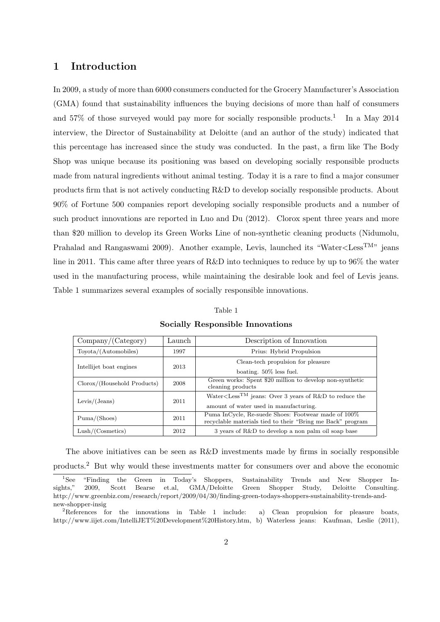## 1 Introduction

In 2009, a study of more than 6000 consumers conducted for the Grocery Manufacturer's Association (GMA) found that sustainability influences the buying decisions of more than half of consumers and  $57\%$  of those surveyed would pay more for socially responsible products.<sup>1</sup> In a May 2014 interview, the Director of Sustainability at Deloitte (and an author of the study) indicated that this percentage has increased since the study was conducted. In the past, a firm like The Body Shop was unique because its positioning was based on developing socially responsible products made from natural ingredients without animal testing. Today it is a rare to find a major consumer products firm that is not actively conducting R&D to develop socially responsible products. About 90% of Fortune 500 companies report developing socially responsible products and a number of such product innovations are reported in Luo and Du (2012). Clorox spent three years and more than \$20 million to develop its Green Works Line of non-synthetic cleaning products (Nidumolu, Prahalad and Rangaswami 2009). Another example, Levis, launched its "Water $\langle$ Less<sup>TM</sup>" jeans line in 2011. This came after three years of R&D into techniques to reduce by up to 96% the water used in the manufacturing process, while maintaining the desirable look and feel of Levis jeans. Table 1 summarizes several examples of socially responsible innovations.

Table 1

| Company/(Category)          | Launch | Description of Innovation                                                                                         |  |
|-----------------------------|--------|-------------------------------------------------------------------------------------------------------------------|--|
| Toyota/(Automobiles)        | 1997   | Prius: Hybrid Propulsion                                                                                          |  |
|                             | 2013   | Clean-tech propulsion for pleasure                                                                                |  |
| Intellijet boat engines     |        | boating. $50\%$ less fuel.                                                                                        |  |
| Clorox/(Household Products) | 2008   | Green works: Spent \$20 million to develop non-synthetic<br>cleaning products                                     |  |
|                             | 2011   | Water <less<sup>TM jeans: Over 3 years of R&amp;D to reduce the</less<sup>                                        |  |
| Levis/(Jeans)               |        | amount of water used in manufacturing.                                                                            |  |
| Puma/(Shoes)                | 2011   | Puma InCycle, Re-suede Shoes: Footwear made of 100%<br>recyclable materials tied to their "Bring me Back" program |  |
| Lush/(Cosmetics)            | 2012   | 3 years of R&D to develop a non palm oil soap base                                                                |  |

Socially Responsible Innovations

The above initiatives can be seen as R&D investments made by firms in socially responsible products.<sup>2</sup> But why would these investments matter for consumers over and above the economic

<sup>&</sup>lt;sup>1</sup>See "Finding the Green in Today's Shoppers, Sustainability Trends and New Shopper Insights," 2009, Scott Bearse et.al, GMA/Deloitte Green Shopper Study, Deloitte Consulting. http://www.greenbiz.com/research/report/2009/04/30/finding-green-todays-shoppers-sustainability-trends-andnew-shopper-insig

<sup>2</sup>References for the innovations in Table 1 include: a) Clean propulsion for pleasure boats, http://www.iijet.com/IntelliJET%20Development%20History.htm, b) Waterless jeans: Kaufman, Leslie (2011),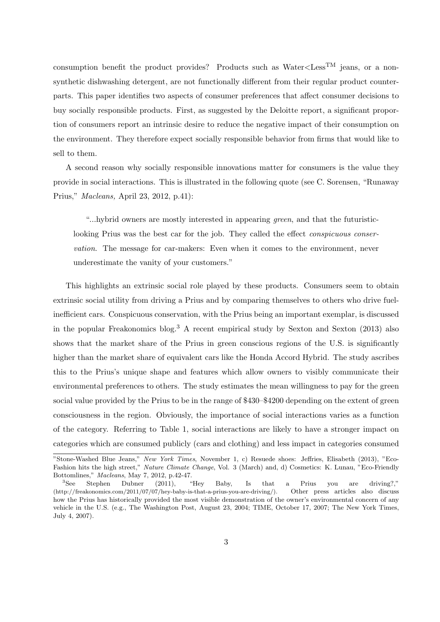consumption benefit the product provides? Products such as  $Water \leq Less^{TM}$  jeans, or a nonsynthetic dishwashing detergent, are not functionally different from their regular product counterparts. This paper identifies two aspects of consumer preferences that affect consumer decisions to buy socially responsible products. First, as suggested by the Deloitte report, a significant proportion of consumers report an intrinsic desire to reduce the negative impact of their consumption on the environment. They therefore expect socially responsible behavior from firms that would like to sell to them.

A second reason why socially responsible innovations matter for consumers is the value they provide in social interactions. This is illustrated in the following quote (see C. Sorensen, "Runaway Prius," Macleans, April 23, 2012, p.41):

"...hybrid owners are mostly interested in appearing green, and that the futuristiclooking Prius was the best car for the job. They called the effect *conspicuous conser*vation. The message for car-makers: Even when it comes to the environment, never underestimate the vanity of your customers."

This highlights an extrinsic social role played by these products. Consumers seem to obtain extrinsic social utility from driving a Prius and by comparing themselves to others who drive fuelinefficient cars. Conspicuous conservation, with the Prius being an important exemplar, is discussed in the popular Freakonomics blog.<sup>3</sup> A recent empirical study by Sexton and Sexton  $(2013)$  also shows that the market share of the Prius in green conscious regions of the U.S. is significantly higher than the market share of equivalent cars like the Honda Accord Hybrid. The study ascribes this to the Prius's unique shape and features which allow owners to visibly communicate their environmental preferences to others. The study estimates the mean willingness to pay for the green social value provided by the Prius to be in the range of \$430–\$4200 depending on the extent of green consciousness in the region. Obviously, the importance of social interactions varies as a function of the category. Referring to Table 1, social interactions are likely to have a stronger impact on categories which are consumed publicly (cars and clothing) and less impact in categories consumed

<sup>&</sup>quot;Stone-Washed Blue Jeans," New York Times, November 1, c) Resuede shoes: Jeffries, Elisabeth (2013), "Eco-Fashion hits the high street," Nature Climate Change, Vol. 3 (March) and, d) Cosmetics: K. Lunau, "Eco-Friendly Bottomlines," Macleans, May 7, 2012, p.42-47.

<sup>3</sup>See Stephen Dubner (2011), "Hey Baby, Is that a Prius you are driving?," (http://freakonomics.com/2011/07/07/hey-baby-is-that-a-prius-you-are-driving/). Other press articles also discuss how the Prius has historically provided the most visible demonstration of the owner's environmental concern of any vehicle in the U.S. (e.g., The Washington Post, August 23, 2004; TIME, October 17, 2007; The New York Times, July 4, 2007).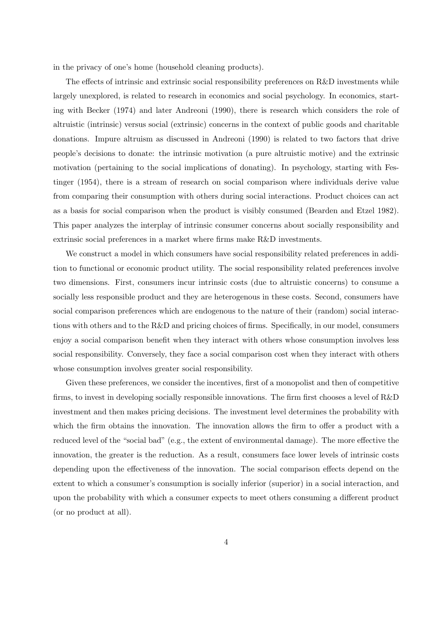in the privacy of one's home (household cleaning products).

The effects of intrinsic and extrinsic social responsibility preferences on R&D investments while largely unexplored, is related to research in economics and social psychology. In economics, starting with Becker (1974) and later Andreoni (1990), there is research which considers the role of altruistic (intrinsic) versus social (extrinsic) concerns in the context of public goods and charitable donations. Impure altruism as discussed in Andreoni (1990) is related to two factors that drive people's decisions to donate: the intrinsic motivation (a pure altruistic motive) and the extrinsic motivation (pertaining to the social implications of donating). In psychology, starting with Festinger (1954), there is a stream of research on social comparison where individuals derive value from comparing their consumption with others during social interactions. Product choices can act as a basis for social comparison when the product is visibly consumed (Bearden and Etzel 1982). This paper analyzes the interplay of intrinsic consumer concerns about socially responsibility and extrinsic social preferences in a market where firms make R&D investments.

We construct a model in which consumers have social responsibility related preferences in addition to functional or economic product utility. The social responsibility related preferences involve two dimensions. First, consumers incur intrinsic costs (due to altruistic concerns) to consume a socially less responsible product and they are heterogenous in these costs. Second, consumers have social comparison preferences which are endogenous to the nature of their (random) social interactions with others and to the R&D and pricing choices of firms. Specifically, in our model, consumers enjoy a social comparison benefit when they interact with others whose consumption involves less social responsibility. Conversely, they face a social comparison cost when they interact with others whose consumption involves greater social responsibility.

Given these preferences, we consider the incentives, first of a monopolist and then of competitive firms, to invest in developing socially responsible innovations. The firm first chooses a level of R&D investment and then makes pricing decisions. The investment level determines the probability with which the firm obtains the innovation. The innovation allows the firm to offer a product with a reduced level of the "social bad" (e.g., the extent of environmental damage). The more effective the innovation, the greater is the reduction. As a result, consumers face lower levels of intrinsic costs depending upon the effectiveness of the innovation. The social comparison effects depend on the extent to which a consumer's consumption is socially inferior (superior) in a social interaction, and upon the probability with which a consumer expects to meet others consuming a different product (or no product at all).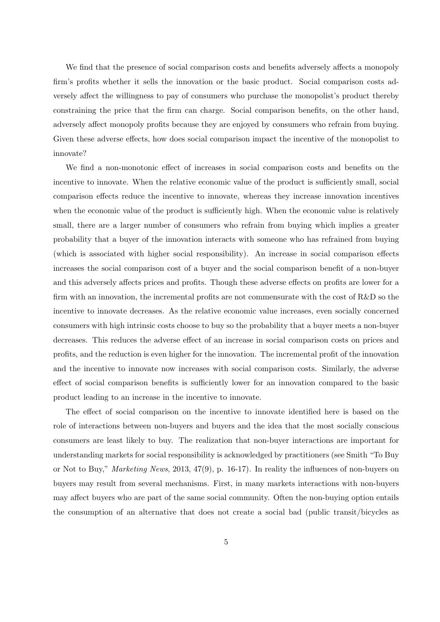We find that the presence of social comparison costs and benefits adversely affects a monopoly firm's profits whether it sells the innovation or the basic product. Social comparison costs adversely affect the willingness to pay of consumers who purchase the monopolist's product thereby constraining the price that the firm can charge. Social comparison benefits, on the other hand, adversely affect monopoly profits because they are enjoyed by consumers who refrain from buying. Given these adverse effects, how does social comparison impact the incentive of the monopolist to innovate?

We find a non-monotonic effect of increases in social comparison costs and benefits on the incentive to innovate. When the relative economic value of the product is sufficiently small, social comparison effects reduce the incentive to innovate, whereas they increase innovation incentives when the economic value of the product is sufficiently high. When the economic value is relatively small, there are a larger number of consumers who refrain from buying which implies a greater probability that a buyer of the innovation interacts with someone who has refrained from buying (which is associated with higher social responsibility). An increase in social comparison effects increases the social comparison cost of a buyer and the social comparison benefit of a non-buyer and this adversely affects prices and profits. Though these adverse effects on profits are lower for a firm with an innovation, the incremental profits are not commensurate with the cost of R&D so the incentive to innovate decreases. As the relative economic value increases, even socially concerned consumers with high intrinsic costs choose to buy so the probability that a buyer meets a non-buyer decreases. This reduces the adverse effect of an increase in social comparison costs on prices and profits, and the reduction is even higher for the innovation. The incremental profit of the innovation and the incentive to innovate now increases with social comparison costs. Similarly, the adverse effect of social comparison benefits is sufficiently lower for an innovation compared to the basic product leading to an increase in the incentive to innovate.

The effect of social comparison on the incentive to innovate identified here is based on the role of interactions between non-buyers and buyers and the idea that the most socially conscious consumers are least likely to buy. The realization that non-buyer interactions are important for understanding markets for social responsibility is acknowledged by practitioners (see Smith "To Buy or Not to Buy," Marketing News, 2013, 47(9), p. 16-17). In reality the influences of non-buyers on buyers may result from several mechanisms. First, in many markets interactions with non-buyers may affect buyers who are part of the same social community. Often the non-buying option entails the consumption of an alternative that does not create a social bad (public transit/bicycles as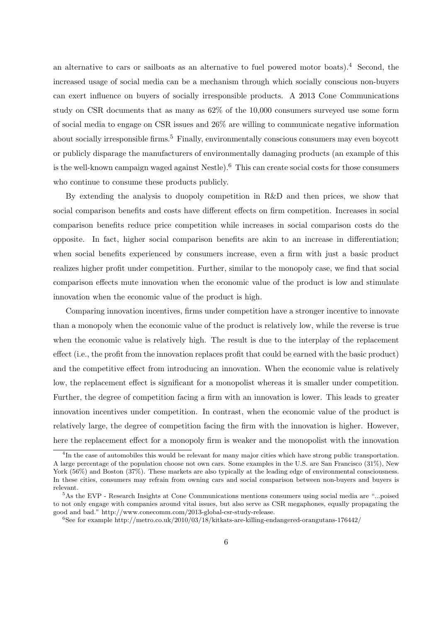an alternative to cars or sailboats as an alternative to fuel powered motor boats).<sup>4</sup> Second, the increased usage of social media can be a mechanism through which socially conscious non-buyers can exert influence on buyers of socially irresponsible products. A 2013 Cone Communications study on CSR documents that as many as 62% of the 10,000 consumers surveyed use some form of social media to engage on CSR issues and 26% are willing to communicate negative information about socially irresponsible firms.<sup>5</sup> Finally, environmentally conscious consumers may even boycott or publicly disparage the manufacturers of environmentally damaging products (an example of this is the well-known campaign waged against Nestle).<sup>6</sup> This can create social costs for those consumers who continue to consume these products publicly.

By extending the analysis to duopoly competition in R&D and then prices, we show that social comparison benefits and costs have different effects on firm competition. Increases in social comparison benefits reduce price competition while increases in social comparison costs do the opposite. In fact, higher social comparison benefits are akin to an increase in differentiation; when social benefits experienced by consumers increase, even a firm with just a basic product realizes higher profit under competition. Further, similar to the monopoly case, we find that social comparison effects mute innovation when the economic value of the product is low and stimulate innovation when the economic value of the product is high.

Comparing innovation incentives, firms under competition have a stronger incentive to innovate than a monopoly when the economic value of the product is relatively low, while the reverse is true when the economic value is relatively high. The result is due to the interplay of the replacement effect (i.e., the profit from the innovation replaces profit that could be earned with the basic product) and the competitive effect from introducing an innovation. When the economic value is relatively low, the replacement effect is significant for a monopolist whereas it is smaller under competition. Further, the degree of competition facing a firm with an innovation is lower. This leads to greater innovation incentives under competition. In contrast, when the economic value of the product is relatively large, the degree of competition facing the firm with the innovation is higher. However, here the replacement effect for a monopoly firm is weaker and the monopolist with the innovation

<sup>&</sup>lt;sup>4</sup>In the case of automobiles this would be relevant for many major cities which have strong public transportation. A large percentage of the population choose not own cars. Some examples in the U.S. are San Francisco (31%), New York (56%) and Boston (37%). These markets are also typically at the leading edge of environmental consciousness. In these cities, consumers may refrain from owning cars and social comparison between non-buyers and buyers is relevant.

 ${}^{5}$ As the EVP - Research Insights at Cone Communications mentions consumers using social media are "...poised to not only engage with companies around vital issues, but also serve as CSR megaphones, equally propagating the good and bad." http://www.conecomm.com/2013-global-csr-study-release.

<sup>6</sup>See for example http://metro.co.uk/2010/03/18/kitkats-are-killing-endangered-orangutans-176442/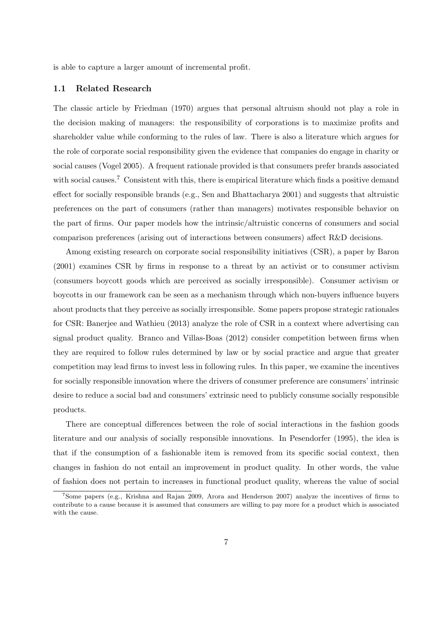is able to capture a larger amount of incremental profit.

## 1.1 Related Research

The classic article by Friedman (1970) argues that personal altruism should not play a role in the decision making of managers: the responsibility of corporations is to maximize profits and shareholder value while conforming to the rules of law. There is also a literature which argues for the role of corporate social responsibility given the evidence that companies do engage in charity or social causes (Vogel 2005). A frequent rationale provided is that consumers prefer brands associated with social causes.<sup>7</sup> Consistent with this, there is empirical literature which finds a positive demand effect for socially responsible brands (e.g., Sen and Bhattacharya 2001) and suggests that altruistic preferences on the part of consumers (rather than managers) motivates responsible behavior on the part of firms. Our paper models how the intrinsic/altruistic concerns of consumers and social comparison preferences (arising out of interactions between consumers) affect R&D decisions.

Among existing research on corporate social responsibility initiatives (CSR), a paper by Baron (2001) examines CSR by firms in response to a threat by an activist or to consumer activism (consumers boycott goods which are perceived as socially irresponsible). Consumer activism or boycotts in our framework can be seen as a mechanism through which non-buyers influence buyers about products that they perceive as socially irresponsible. Some papers propose strategic rationales for CSR: Banerjee and Wathieu (2013) analyze the role of CSR in a context where advertising can signal product quality. Branco and Villas-Boas (2012) consider competition between firms when they are required to follow rules determined by law or by social practice and argue that greater competition may lead firms to invest less in following rules. In this paper, we examine the incentives for socially responsible innovation where the drivers of consumer preference are consumers' intrinsic desire to reduce a social bad and consumers' extrinsic need to publicly consume socially responsible products.

There are conceptual differences between the role of social interactions in the fashion goods literature and our analysis of socially responsible innovations. In Pesendorfer (1995), the idea is that if the consumption of a fashionable item is removed from its specific social context, then changes in fashion do not entail an improvement in product quality. In other words, the value of fashion does not pertain to increases in functional product quality, whereas the value of social

<sup>7</sup>Some papers (e.g., Krishna and Rajan 2009, Arora and Henderson 2007) analyze the incentives of firms to contribute to a cause because it is assumed that consumers are willing to pay more for a product which is associated with the cause.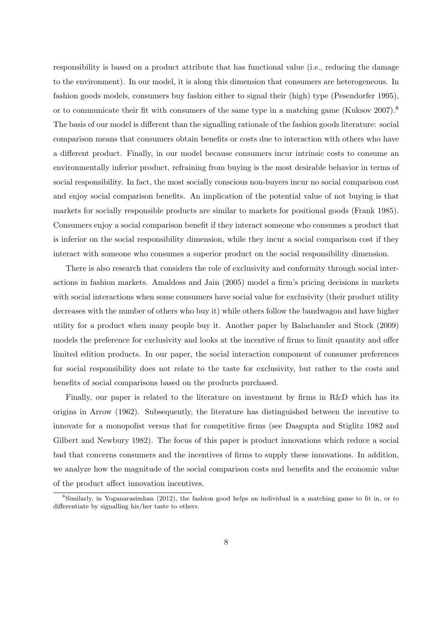responsibility is based on a product attribute that has functional value (i.e., reducing the damage to the environment). In our model, it is along this dimension that consumers are heterogeneous. In fashion goods models, consumers buy fashion either to signal their (high) type (Pesendorfer 1995), or to communicate their fit with consumers of the same type in a matching game (Kuksov  $2007$ ).<sup>8</sup> The basis of our model is different than the signalling rationale of the fashion goods literature: social comparison means that consumers obtain benefits or costs due to interaction with others who have a different product. Finally, in our model because consumers incur intrinsic costs to consume an environmentally inferior product, refraining from buying is the most desirable behavior in terms of social responsibility. In fact, the most socially conscious non-buyers incur no social comparison cost and enjoy social comparison benefits. An implication of the potential value of not buying is that markets for socially responsible products are similar to markets for positional goods (Frank 1985). Consumers enjoy a social comparison benefit if they interact someone who consumes a product that is inferior on the social responsibility dimension, while they incur a social comparison cost if they interact with someone who consumes a superior product on the social responsibility dimension.

There is also research that considers the role of exclusivity and conformity through social interactions in fashion markets. Amaldoss and Jain (2005) model a firm's pricing decisions in markets with social interactions when some consumers have social value for exclusivity (their product utility decreases with the number of others who buy it) while others follow the bandwagon and have higher utility for a product when many people buy it. Another paper by Balachander and Stock (2009) models the preference for exclusivity and looks at the incentive of firms to limit quantity and offer limited edition products. In our paper, the social interaction component of consumer preferences for social responsibility does not relate to the taste for exclusivity, but rather to the costs and benefits of social comparisons based on the products purchased.

Finally, our paper is related to the literature on investment by firms in R&D which has its origins in Arrow (1962). Subsequently, the literature has distinguished between the incentive to innovate for a monopolist versus that for competitive firms (see Dasgupta and Stiglitz 1982 and Gilbert and Newbury 1982). The focus of this paper is product innovations which reduce a social bad that concerns consumers and the incentives of firms to supply these innovations. In addition, we analyze how the magnitude of the social comparison costs and benefits and the economic value of the product affect innovation incentives.

<sup>8</sup>Similarly, in Yoganarasimhan (2012), the fashion good helps an individual in a matching game to fit in, or to differentiate by signalling his/her taste to others.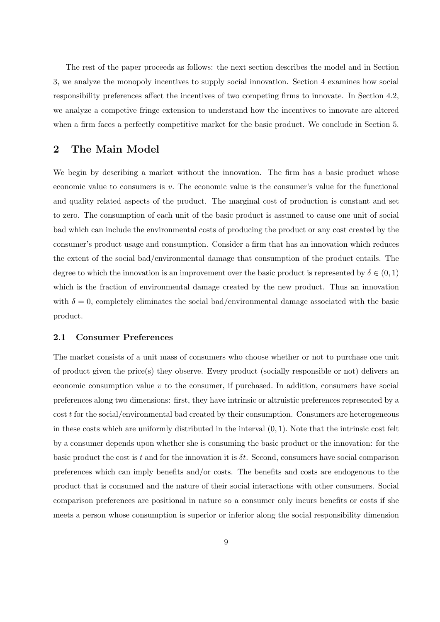The rest of the paper proceeds as follows: the next section describes the model and in Section 3, we analyze the monopoly incentives to supply social innovation. Section 4 examines how social responsibility preferences affect the incentives of two competing firms to innovate. In Section 4.2, we analyze a competive fringe extension to understand how the incentives to innovate are altered when a firm faces a perfectly competitive market for the basic product. We conclude in Section 5.

## 2 The Main Model

We begin by describing a market without the innovation. The firm has a basic product whose economic value to consumers is  $v$ . The economic value is the consumer's value for the functional and quality related aspects of the product. The marginal cost of production is constant and set to zero. The consumption of each unit of the basic product is assumed to cause one unit of social bad which can include the environmental costs of producing the product or any cost created by the consumer's product usage and consumption. Consider a firm that has an innovation which reduces the extent of the social bad/environmental damage that consumption of the product entails. The degree to which the innovation is an improvement over the basic product is represented by  $\delta \in (0,1)$ which is the fraction of environmental damage created by the new product. Thus an innovation with  $\delta = 0$ , completely eliminates the social bad/environmental damage associated with the basic product.

## 2.1 Consumer Preferences

The market consists of a unit mass of consumers who choose whether or not to purchase one unit of product given the price(s) they observe. Every product (socially responsible or not) delivers an economic consumption value  $v$  to the consumer, if purchased. In addition, consumers have social preferences along two dimensions: first, they have intrinsic or altruistic preferences represented by a cost t for the social/environmental bad created by their consumption. Consumers are heterogeneous in these costs which are uniformly distributed in the interval  $(0, 1)$ . Note that the intrinsic cost felt by a consumer depends upon whether she is consuming the basic product or the innovation: for the basic product the cost is t and for the innovation it is  $\delta t$ . Second, consumers have social comparison preferences which can imply benefits and/or costs. The benefits and costs are endogenous to the product that is consumed and the nature of their social interactions with other consumers. Social comparison preferences are positional in nature so a consumer only incurs benefits or costs if she meets a person whose consumption is superior or inferior along the social responsibility dimension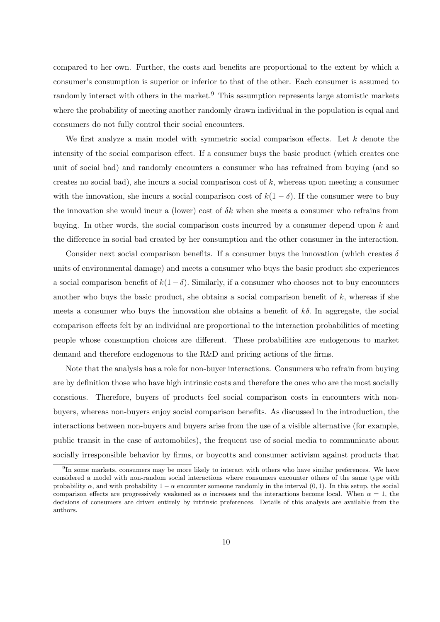compared to her own. Further, the costs and benefits are proportional to the extent by which a consumer's consumption is superior or inferior to that of the other. Each consumer is assumed to randomly interact with others in the market.<sup>9</sup> This assumption represents large atomistic markets where the probability of meeting another randomly drawn individual in the population is equal and consumers do not fully control their social encounters.

We first analyze a main model with symmetric social comparison effects. Let  $k$  denote the intensity of the social comparison effect. If a consumer buys the basic product (which creates one unit of social bad) and randomly encounters a consumer who has refrained from buying (and so creates no social bad), she incurs a social comparison cost of  $k$ , whereas upon meeting a consumer with the innovation, she incurs a social comparison cost of  $k(1 - \delta)$ . If the consumer were to buy the innovation she would incur a (lower) cost of  $\delta k$  when she meets a consumer who refrains from buying. In other words, the social comparison costs incurred by a consumer depend upon k and the difference in social bad created by her consumption and the other consumer in the interaction.

Consider next social comparison benefits. If a consumer buys the innovation (which creates  $\delta$ units of environmental damage) and meets a consumer who buys the basic product she experiences a social comparison benefit of  $k(1 - \delta)$ . Similarly, if a consumer who chooses not to buy encounters another who buys the basic product, she obtains a social comparison benefit of  $k$ , whereas if she meets a consumer who buys the innovation she obtains a benefit of  $k\delta$ . In aggregate, the social comparison effects felt by an individual are proportional to the interaction probabilities of meeting people whose consumption choices are different. These probabilities are endogenous to market demand and therefore endogenous to the R&D and pricing actions of the firms.

Note that the analysis has a role for non-buyer interactions. Consumers who refrain from buying are by definition those who have high intrinsic costs and therefore the ones who are the most socially conscious. Therefore, buyers of products feel social comparison costs in encounters with nonbuyers, whereas non-buyers enjoy social comparison benefits. As discussed in the introduction, the interactions between non-buyers and buyers arise from the use of a visible alternative (for example, public transit in the case of automobiles), the frequent use of social media to communicate about socially irresponsible behavior by firms, or boycotts and consumer activism against products that

<sup>&</sup>lt;sup>9</sup>In some markets, consumers may be more likely to interact with others who have similar preferences. We have considered a model with non-random social interactions where consumers encounter others of the same type with probability  $\alpha$ , and with probability  $1 - \alpha$  encounter someone randomly in the interval  $(0, 1)$ . In this setup, the social comparison effects are progressively weakened as  $\alpha$  increases and the interactions become local. When  $\alpha = 1$ , the decisions of consumers are driven entirely by intrinsic preferences. Details of this analysis are available from the authors.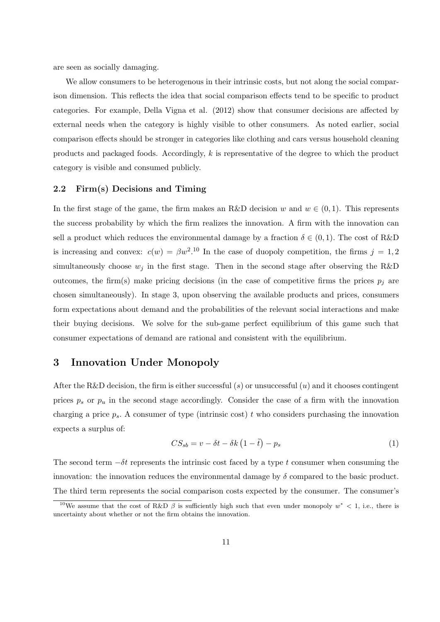are seen as socially damaging.

We allow consumers to be heterogenous in their intrinsic costs, but not along the social comparison dimension. This reflects the idea that social comparison effects tend to be specific to product categories. For example, Della Vigna et al. (2012) show that consumer decisions are affected by external needs when the category is highly visible to other consumers. As noted earlier, social comparison effects should be stronger in categories like clothing and cars versus household cleaning products and packaged foods. Accordingly, k is representative of the degree to which the product category is visible and consumed publicly.

## 2.2 Firm(s) Decisions and Timing

In the first stage of the game, the firm makes an R&D decision w and  $w \in (0,1)$ . This represents the success probability by which the firm realizes the innovation. A firm with the innovation can sell a product which reduces the environmental damage by a fraction  $\delta \in (0,1)$ . The cost of R&D is increasing and convex:  $c(w) = \beta w^2$ <sup>10</sup> In the case of duopoly competition, the firms  $j = 1, 2$ simultaneously choose  $w_j$  in the first stage. Then in the second stage after observing the R&D outcomes, the firm(s) make pricing decisions (in the case of competitive firms the prices  $p_j$  are chosen simultaneously). In stage 3, upon observing the available products and prices, consumers form expectations about demand and the probabilities of the relevant social interactions and make their buying decisions. We solve for the sub-game perfect equilibrium of this game such that consumer expectations of demand are rational and consistent with the equilibrium.

## 3 Innovation Under Monopoly

After the R&D decision, the firm is either successful  $(s)$  or unsuccessful  $(u)$  and it chooses contingent prices  $p_s$  or  $p_u$  in the second stage accordingly. Consider the case of a firm with the innovation charging a price  $p_s$ . A consumer of type (intrinsic cost) t who considers purchasing the innovation expects a surplus of:

$$
CS_{sb} = v - \delta t - \delta k \left(1 - \tilde{t}\right) - p_s \tag{1}
$$

The second term  $-\delta t$  represents the intrinsic cost faced by a type t consumer when consuming the innovation: the innovation reduces the environmental damage by  $\delta$  compared to the basic product. The third term represents the social comparison costs expected by the consumer. The consumer's

<sup>&</sup>lt;sup>10</sup>We assume that the cost of R&D  $\beta$  is sufficiently high such that even under monopoly  $w^* < 1$ , i.e., there is uncertainty about whether or not the firm obtains the innovation.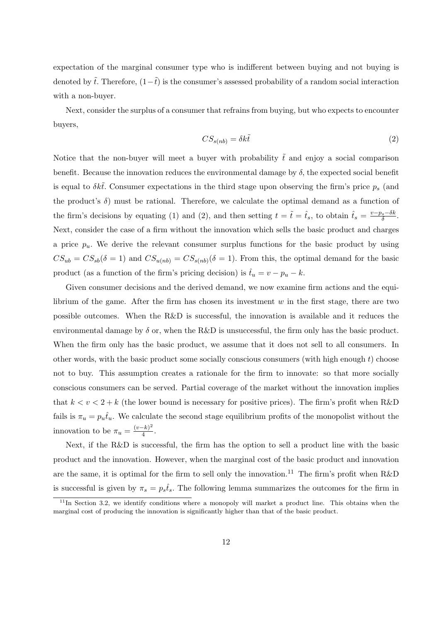expectation of the marginal consumer type who is indifferent between buying and not buying is denoted by  $\tilde{t}$ . Therefore,  $(1-\tilde{t})$  is the consumer's assessed probability of a random social interaction with a non-buyer.

Next, consider the surplus of a consumer that refrains from buying, but who expects to encounter buyers,

$$
CS_{s(nb)} = \delta k \tilde{t} \tag{2}
$$

Notice that the non-buyer will meet a buyer with probability  $\tilde{t}$  and enjoy a social comparison benefit. Because the innovation reduces the environmental damage by  $\delta$ , the expected social benefit is equal to  $\delta k\tilde{t}$ . Consumer expectations in the third stage upon observing the firm's price  $p_s$  (and the product's  $\delta$ ) must be rational. Therefore, we calculate the optimal demand as a function of the firm's decisions by equating (1) and (2), and then setting  $t = \tilde{t} = \hat{t}_s$ , to obtain  $\hat{t}_s = \frac{v - p_s - \delta k}{\delta}$  $\frac{\delta s - \delta k}{\delta}$  . Next, consider the case of a firm without the innovation which sells the basic product and charges a price  $p_u$ . We derive the relevant consumer surplus functions for the basic product by using  $CS_{ub} = CS_{sb}(\delta = 1)$  and  $CS_{u(nb)} = CS_{s(nb)}(\delta = 1)$ . From this, the optimal demand for the basic product (as a function of the firm's pricing decision) is  $\hat{t}_u = v - p_u - k$ .

Given consumer decisions and the derived demand, we now examine firm actions and the equilibrium of the game. After the firm has chosen its investment  $w$  in the first stage, there are two possible outcomes. When the R&D is successful, the innovation is available and it reduces the environmental damage by  $\delta$  or, when the R&D is unsuccessful, the firm only has the basic product. When the firm only has the basic product, we assume that it does not sell to all consumers. In other words, with the basic product some socially conscious consumers (with high enough  $t$ ) choose not to buy. This assumption creates a rationale for the firm to innovate: so that more socially conscious consumers can be served. Partial coverage of the market without the innovation implies that  $k < v < 2 + k$  (the lower bound is necessary for positive prices). The firm's profit when R&D fails is  $\pi_u = p_u \hat{t}_u$ . We calculate the second stage equilibrium profits of the monopolist without the innovation to be  $\pi_u = \frac{(v-k)^2}{4}$  $\frac{-\kappa)^{-}}{4}.$ 

Next, if the R&D is successful, the firm has the option to sell a product line with the basic product and the innovation. However, when the marginal cost of the basic product and innovation are the same, it is optimal for the firm to sell only the innovation.<sup>11</sup> The firm's profit when R&D is successful is given by  $\pi_s = p_s \hat{t}_s$ . The following lemma summarizes the outcomes for the firm in

 $11$ In Section 3.2, we identify conditions where a monopoly will market a product line. This obtains when the marginal cost of producing the innovation is significantly higher than that of the basic product.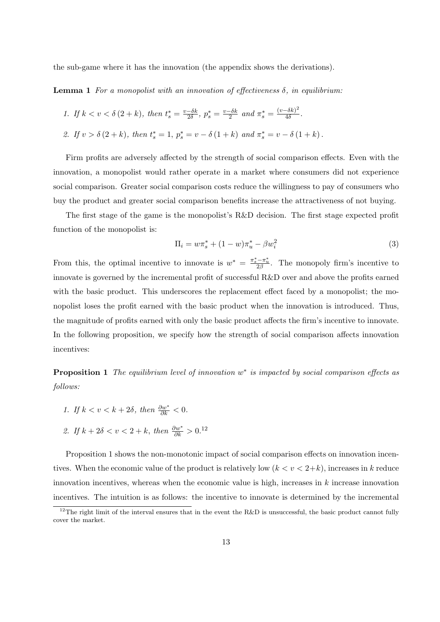the sub-game where it has the innovation (the appendix shows the derivations).

**Lemma 1** For a monopolist with an innovation of effectiveness  $\delta$ , in equilibrium:

\n- 1. If 
$$
k < v < \delta(2 + k)
$$
, then  $t_s^* = \frac{v - \delta k}{2\delta}$ ,  $p_s^* = \frac{v - \delta k}{2}$  and  $\pi_s^* = \frac{(v - \delta k)^2}{4\delta}$ .
\n- 2. If  $v > \delta(2 + k)$ , then  $t_s^* = 1$ ,  $p_s^* = v - \delta(1 + k)$  and  $\pi_s^* = v - \delta(1 + k)$ .
\n

Firm profits are adversely affected by the strength of social comparison effects. Even with the innovation, a monopolist would rather operate in a market where consumers did not experience social comparison. Greater social comparison costs reduce the willingness to pay of consumers who buy the product and greater social comparison benefits increase the attractiveness of not buying.

The first stage of the game is the monopolist's R&D decision. The first stage expected profit function of the monopolist is:

$$
\Pi_i = w\pi_s^* + (1 - w)\pi_u^* - \beta w_i^2 \tag{3}
$$

From this, the optimal incentive to innovate is  $w^* = \frac{\pi_s^* - \pi_u^*}{2\beta}$ . The monopoly firm's incentive to innovate is governed by the incremental profit of successful R&D over and above the profits earned with the basic product. This underscores the replacement effect faced by a monopolist; the monopolist loses the profit earned with the basic product when the innovation is introduced. Thus, the magnitude of profits earned with only the basic product affects the firm's incentive to innovate. In the following proposition, we specify how the strength of social comparison affects innovation incentives:

**Proposition 1** The equilibrium level of innovation  $w^*$  is impacted by social comparison effects as follows:

- 1. If  $k < v < k + 2\delta$ , then  $\frac{\partial w^*}{\partial k} < 0$ .
- 2. If  $k + 2\delta < v < 2 + k$ , then  $\frac{\partial w^*}{\partial k} > 0$ .<sup>12</sup>

Proposition 1 shows the non-monotonic impact of social comparison effects on innovation incentives. When the economic value of the product is relatively low  $(k < v < 2+k)$ , increases in k reduce innovation incentives, whereas when the economic value is high, increases in  $k$  increase innovation incentives. The intuition is as follows: the incentive to innovate is determined by the incremental

<sup>&</sup>lt;sup>12</sup>The right limit of the interval ensures that in the event the R&D is unsuccessful, the basic product cannot fully cover the market.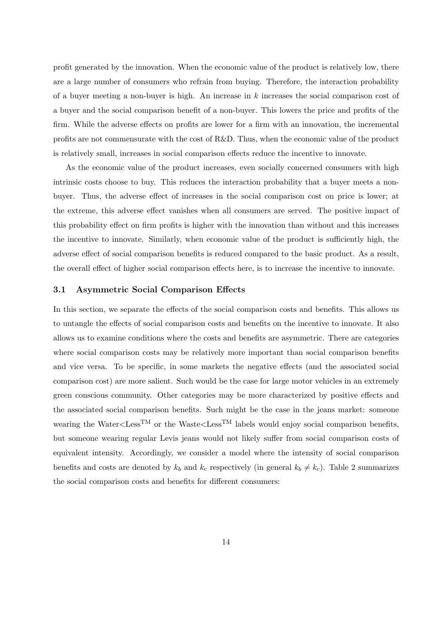profit generated by the innovation. When the economic value of the product is relatively low, there are a large number of consumers who refrain from buying. Therefore, the interaction probability of a buyer meeting a non-buyer is high. An increase in  $k$  increases the social comparison cost of a buyer and the social comparison benefit of a non-buyer. This lowers the price and profits of the firm. While the adverse effects on profits are lower for a firm with an innovation, the incremental profits are not commensurate with the cost of R&D. Thus, when the economic value of the product is relatively small, increases in social comparison effects reduce the incentive to innovate.

As the economic value of the product increases, even socially concerned consumers with high intrinsic costs choose to buy. This reduces the interaction probability that a buyer meets a nonbuyer. Thus, the adverse effect of increases in the social comparison cost on price is lower; at the extreme, this adverse effect vanishes when all consumers are served. The positive impact of this probability effect on firm profits is higher with the innovation than without and this increases the incentive to innovate. Similarly, when economic value of the product is sufficiently high, the adverse effect of social comparison benefits is reduced compared to the basic product. As a result, the overall effect of higher social comparison effects here, is to increase the incentive to innovate.

## 3.1 Asymmetric Social Comparison Effects

In this section, we separate the effects of the social comparison costs and benefits. This allows us to untangle the effects of social comparison costs and benefits on the incentive to innovate. It also allows us to examine conditions where the costs and benefits are asymmetric. There are categories where social comparison costs may be relatively more important than social comparison benefits and vice versa. To be specific, in some markets the negative effects (and the associated social comparison cost) are more salient. Such would be the case for large motor vehicles in an extremely green conscious community. Other categories may be more characterized by positive effects and the associated social comparison benefits. Such might be the case in the jeans market: someone wearing the Water $\leq$ Less<sup>TM</sup> or the Waste $\leq$ Less<sup>TM</sup> labels would enjoy social comparison benefits, but someone wearing regular Levis jeans would not likely suffer from social comparison costs of equivalent intensity. Accordingly, we consider a model where the intensity of social comparison benefits and costs are denoted by  $k_b$  and  $k_c$  respectively (in general  $k_b \neq k_c$ ). Table 2 summarizes the social comparison costs and benefits for different consumers: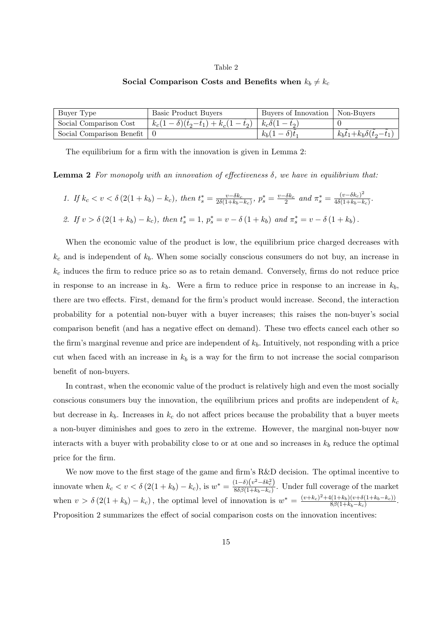#### Table 2

Social Comparison Costs and Benefits when  $k_b \neq k_c$ 

| Buyer Type                    | <b>Basic Product Buyers</b>                                                               | Buyers of Innovation   Non-Buyers |                                                  |
|-------------------------------|-------------------------------------------------------------------------------------------|-----------------------------------|--------------------------------------------------|
| Social Comparison Cost        | $k_c(1-\delta)(\tilde{t}_2-\tilde{t}_1)+k_c(1-\tilde{t}_2) \mid k_c\delta(1-\tilde{t}_2)$ |                                   |                                                  |
| Social Comparison Benefit   0 |                                                                                           | $k_b(1-\delta)\tilde{t}_1$        | $k_b\ddot{t}_1+k_b\delta(\ddot{t}_2-\ddot{t}_1)$ |

The equilibrium for a firm with the innovation is given in Lemma 2:

**Lemma 2** For monopoly with an innovation of effectiveness  $\delta$ , we have in equilibrium that:

1. If 
$$
k_c < v < \delta
$$
 (2(1 +  $k_b$ ) -  $k_c$ ), then  $t_s^* = \frac{v - \delta k_c}{2\delta(1 + k_b - k_c)}$ ,  $p_s^* = \frac{v - \delta k_c}{2}$  and  $\pi_s^* = \frac{(v - \delta k_c)^2}{4\delta(1 + k_b - k_c)}$ .  
\n2. If  $v > \delta$  (2(1 +  $k_b$ ) -  $k_c$ ), then  $t_s^* = 1$ ,  $p_s^* = v - \delta(1 + k_b)$  and  $\pi_s^* = v - \delta(1 + k_b)$ .

When the economic value of the product is low, the equilibrium price charged decreases with  $k_c$  and is independent of  $k_b$ . When some socially conscious consumers do not buy, an increase in  $k_c$  induces the firm to reduce price so as to retain demand. Conversely, firms do not reduce price in response to an increase in  $k_b$ . Were a firm to reduce price in response to an increase in  $k_b$ , there are two effects. First, demand for the firm's product would increase. Second, the interaction probability for a potential non-buyer with a buyer increases; this raises the non-buyer's social comparison benefit (and has a negative effect on demand). These two effects cancel each other so the firm's marginal revenue and price are independent of  $k<sub>b</sub>$ . Intuitively, not responding with a price cut when faced with an increase in  $k_b$  is a way for the firm to not increase the social comparison benefit of non-buyers.

In contrast, when the economic value of the product is relatively high and even the most socially conscious consumers buy the innovation, the equilibrium prices and profits are independent of  $k_c$ but decrease in  $k_b$ . Increases in  $k_c$  do not affect prices because the probability that a buyer meets a non-buyer diminishes and goes to zero in the extreme. However, the marginal non-buyer now interacts with a buyer with probability close to or at one and so increases in  $k_b$  reduce the optimal price for the firm.

We now move to the first stage of the game and firm's R&D decision. The optimal incentive to innovate when  $k_c < v < \delta (2(1 + k_b) - k_c)$ , is  $w^* = \frac{(1 - \delta)(v^2 - \delta k_c^2)}{8\delta \beta (1 + k_b - k_c)}$  $\frac{(1-\theta)(v-\theta\kappa_c)}{8\delta\beta(1+k_b-k_c)}$ . Under full coverage of the market when  $v > \delta(2(1+k_b)-k_c)$ , the optimal level of innovation is  $w^* = \frac{(v+k_c)^2+4(1+k_b)(v+\delta(1+k_b-k_c))}{8\beta(1+k_b-k_c)}$  $\frac{\frac{k(1+k_b)(v+o(1+k_b-k_c))}{8\beta(1+k_b-k_c)}}{8\beta(1+k_b-k_c)}.$ Proposition 2 summarizes the effect of social comparison costs on the innovation incentives: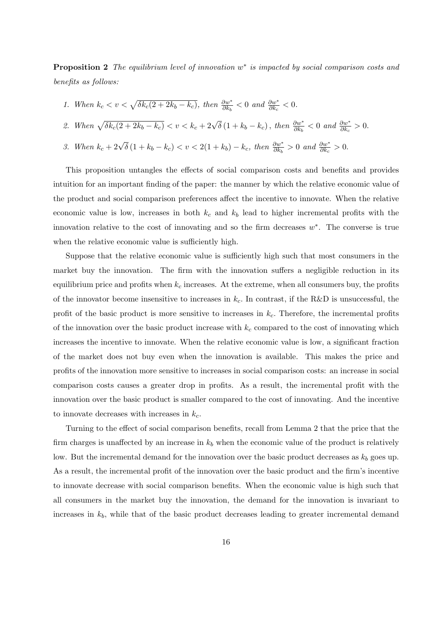**Proposition 2** The equilibrium level of innovation  $w^*$  is impacted by social comparison costs and benefits as follows:

\n- 1. When 
$$
k_c < v < \sqrt{\delta k_c(2 + 2k_b - k_c)}
$$
, then  $\frac{\partial w^*}{\partial k_b} < 0$  and  $\frac{\partial w^*}{\partial k_c} < 0$ .
\n- 2. When  $\sqrt{\delta k_c(2 + 2k_b - k_c)} < v < k_c + 2\sqrt{\delta}(1 + k_b - k_c)$ , then  $\frac{\partial w^*}{\partial k_b} < 0$  and  $\frac{\partial w^*}{\partial k_c} > 0$ .
\n- 3. When  $k_c + 2\sqrt{\delta}(1 + k_b - k_c) < v < 2(1 + k_b) - k_c$ , then  $\frac{\partial w^*}{\partial k_b} > 0$  and  $\frac{\partial w^*}{\partial k_c} > 0$ .
\n

This proposition untangles the effects of social comparison costs and benefits and provides intuition for an important finding of the paper: the manner by which the relative economic value of the product and social comparison preferences affect the incentive to innovate. When the relative economic value is low, increases in both  $k_c$  and  $k_b$  lead to higher incremental profits with the innovation relative to the cost of innovating and so the firm decreases  $w^*$ . The converse is true when the relative economic value is sufficiently high.

Suppose that the relative economic value is sufficiently high such that most consumers in the market buy the innovation. The firm with the innovation suffers a negligible reduction in its equilibrium price and profits when  $k_c$  increases. At the extreme, when all consumers buy, the profits of the innovator become insensitive to increases in  $k_c$ . In contrast, if the R&D is unsuccessful, the profit of the basic product is more sensitive to increases in  $k_c$ . Therefore, the incremental profits of the innovation over the basic product increase with  $k_c$  compared to the cost of innovating which increases the incentive to innovate. When the relative economic value is low, a significant fraction of the market does not buy even when the innovation is available. This makes the price and profits of the innovation more sensitive to increases in social comparison costs: an increase in social comparison costs causes a greater drop in profits. As a result, the incremental profit with the innovation over the basic product is smaller compared to the cost of innovating. And the incentive to innovate decreases with increases in  $k_c$ .

Turning to the effect of social comparison benefits, recall from Lemma 2 that the price that the firm charges is unaffected by an increase in  $k_b$  when the economic value of the product is relatively low. But the incremental demand for the innovation over the basic product decreases as  $k_b$  goes up. As a result, the incremental profit of the innovation over the basic product and the firm's incentive to innovate decrease with social comparison benefits. When the economic value is high such that all consumers in the market buy the innovation, the demand for the innovation is invariant to increases in  $k_b$ , while that of the basic product decreases leading to greater incremental demand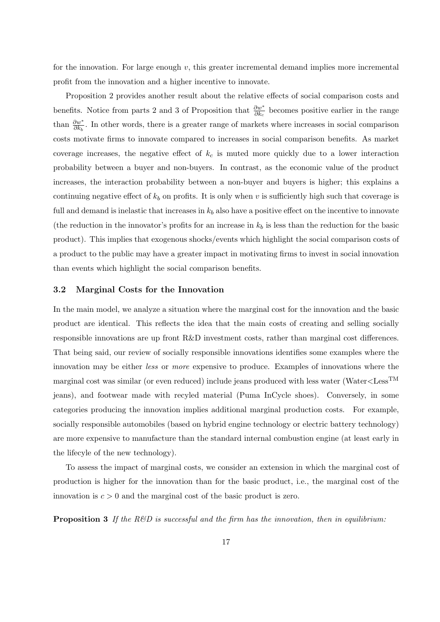for the innovation. For large enough  $v$ , this greater incremental demand implies more incremental profit from the innovation and a higher incentive to innovate.

Proposition 2 provides another result about the relative effects of social comparison costs and benefits. Notice from parts 2 and 3 of Proposition that  $\frac{\partial w^*}{\partial k_c}$  becomes positive earlier in the range than  $\frac{\partial w^*}{\partial k_b}$ . In other words, there is a greater range of markets where increases in social comparison costs motivate firms to innovate compared to increases in social comparison benefits. As market coverage increases, the negative effect of  $k_c$  is muted more quickly due to a lower interaction probability between a buyer and non-buyers. In contrast, as the economic value of the product increases, the interaction probability between a non-buyer and buyers is higher; this explains a continuing negative effect of  $k_b$  on profits. It is only when v is sufficiently high such that coverage is full and demand is inelastic that increases in  $k_b$  also have a positive effect on the incentive to innovate (the reduction in the innovator's profits for an increase in  $k_b$  is less than the reduction for the basic product). This implies that exogenous shocks/events which highlight the social comparison costs of a product to the public may have a greater impact in motivating firms to invest in social innovation than events which highlight the social comparison benefits.

## 3.2 Marginal Costs for the Innovation

In the main model, we analyze a situation where the marginal cost for the innovation and the basic product are identical. This reflects the idea that the main costs of creating and selling socially responsible innovations are up front R&D investment costs, rather than marginal cost differences. That being said, our review of socially responsible innovations identifies some examples where the innovation may be either less or more expensive to produce. Examples of innovations where the marginal cost was similar (or even reduced) include jeans produced with less water (Water $\lt$ Less<sup>TM</sup> jeans), and footwear made with recyled material (Puma InCycle shoes). Conversely, in some categories producing the innovation implies additional marginal production costs. For example, socially responsible automobiles (based on hybrid engine technology or electric battery technology) are more expensive to manufacture than the standard internal combustion engine (at least early in the lifecyle of the new technology).

To assess the impact of marginal costs, we consider an extension in which the marginal cost of production is higher for the innovation than for the basic product, i.e., the marginal cost of the innovation is  $c > 0$  and the marginal cost of the basic product is zero.

**Proposition 3** If the R&D is successful and the firm has the innovation, then in equilibrium: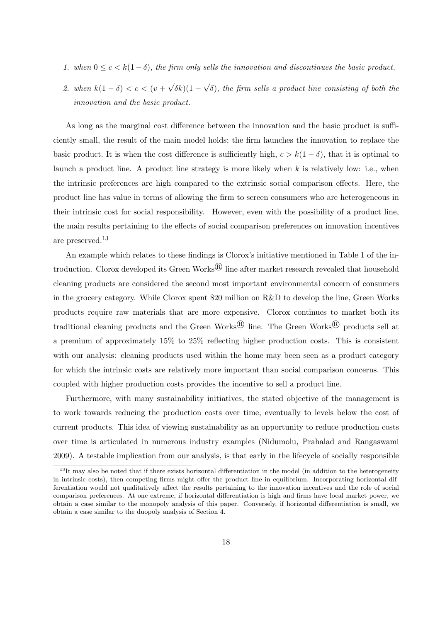- 1. when  $0 \leq c < k(1-\delta)$ , the firm only sells the innovation and discontinues the basic product.
- 2. when  $k(1 \delta) < c < (v +$ √  $(\delta k)(1 -$ √  $\delta$ ), the firm sells a product line consisting of both the innovation and the basic product.

As long as the marginal cost difference between the innovation and the basic product is sufficiently small, the result of the main model holds; the firm launches the innovation to replace the basic product. It is when the cost difference is sufficiently high,  $c > k(1 - \delta)$ , that it is optimal to launch a product line. A product line strategy is more likely when  $k$  is relatively low: i.e., when the intrinsic preferences are high compared to the extrinsic social comparison effects. Here, the product line has value in terms of allowing the firm to screen consumers who are heterogeneous in their intrinsic cost for social responsibility. However, even with the possibility of a product line, the main results pertaining to the effects of social comparison preferences on innovation incentives are preserved.<sup>13</sup>

An example which relates to these findings is Clorox's initiative mentioned in Table 1 of the introduction. Clorox developed its Green Works<sup> $\mathcal{B}$ </sup> line after market research revealed that household cleaning products are considered the second most important environmental concern of consumers in the grocery category. While Clorox spent \$20 million on R&D to develop the line, Green Works products require raw materials that are more expensive. Clorox continues to market both its traditional cleaning products and the Green Works<sup> $\circledR$ </sup> line. The Green Works<sup> $\circledR$ </sup> products sell at a premium of approximately 15% to 25% reflecting higher production costs. This is consistent with our analysis: cleaning products used within the home may been seen as a product category for which the intrinsic costs are relatively more important than social comparison concerns. This coupled with higher production costs provides the incentive to sell a product line.

Furthermore, with many sustainability initiatives, the stated objective of the management is to work towards reducing the production costs over time, eventually to levels below the cost of current products. This idea of viewing sustainability as an opportunity to reduce production costs over time is articulated in numerous industry examples (Nidumolu, Prahalad and Rangaswami 2009). A testable implication from our analysis, is that early in the lifecycle of socially responsible

 $13$ It may also be noted that if there exists horizontal differentiation in the model (in addition to the heterogeneity in intrinsic costs), then competing firms might offer the product line in equilibrium. Incorporating horizontal differentiation would not qualitatively affect the results pertaining to the innovation incentives and the role of social comparison preferences. At one extreme, if horizontal differentiation is high and firms have local market power, we obtain a case similar to the monopoly analysis of this paper. Conversely, if horizontal differentiation is small, we obtain a case similar to the duopoly analysis of Section 4.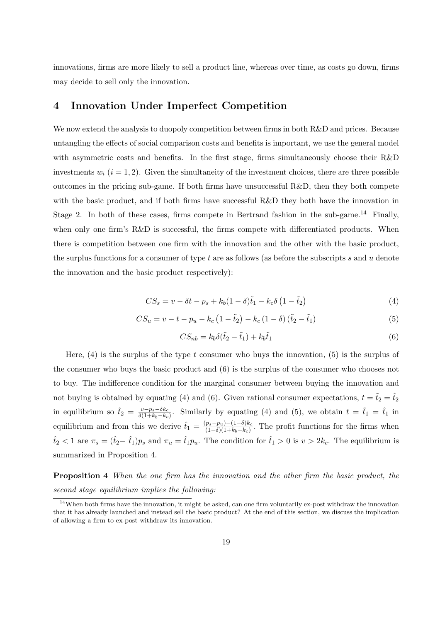innovations, firms are more likely to sell a product line, whereas over time, as costs go down, firms may decide to sell only the innovation.

## 4 Innovation Under Imperfect Competition

We now extend the analysis to duopoly competition between firms in both R&D and prices. Because untangling the effects of social comparison costs and benefits is important, we use the general model with asymmetric costs and benefits. In the first stage, firms simultaneously choose their R&D investments  $w_i$  ( $i = 1, 2$ ). Given the simultaneity of the investment choices, there are three possible outcomes in the pricing sub-game. If both firms have unsuccessful  $R&D$ , then they both compete with the basic product, and if both firms have successful R&D they both have the innovation in Stage 2. In both of these cases, firms compete in Bertrand fashion in the sub-game.<sup>14</sup> Finally, when only one firm's R&D is successful, the firms compete with differentiated products. When there is competition between one firm with the innovation and the other with the basic product, the surplus functions for a consumer of type  $t$  are as follows (as before the subscripts  $s$  and  $u$  denote the innovation and the basic product respectively):

$$
CS_s = v - \delta t - p_s + k_b(1 - \delta)\tilde{t}_1 - k_c\delta\left(1 - \tilde{t}_2\right)
$$
\n<sup>(4)</sup>

$$
CS_u = v - t - p_u - k_c (1 - \tilde{t}_2) - k_c (1 - \delta) (\tilde{t}_2 - \tilde{t}_1)
$$
\n(5)

$$
CS_{nb} = k_b \delta(\tilde{t}_2 - \tilde{t}_1) + k_b \tilde{t}_1
$$
\n<sup>(6)</sup>

Here,  $(4)$  is the surplus of the type t consumer who buys the innovation,  $(5)$  is the surplus of the consumer who buys the basic product and (6) is the surplus of the consumer who chooses not to buy. The indifference condition for the marginal consumer between buying the innovation and not buying is obtained by equating (4) and (6). Given rational consumer expectations,  $t = \tilde{t}_2 = \tilde{t}_2$ in equilibrium so  $\hat{t}_2 = \frac{v - p_s - \delta k_c}{\delta (1 + k_b - k_c)}$  $\frac{v-p_s-\delta k_c}{\delta(1+k_b-k_c)}$ . Similarly by equating (4) and (5), we obtain  $t = \tilde{t}_1 = \hat{t}_1$  in equilibrium and from this we derive  $\hat{t}_1 = \frac{(p_s - p_u) - (1 - \delta)k_c}{(1 - \delta)(1 + k_b - k_c)}$  $\frac{p_s - p_u - (1 - \delta)\kappa_c}{(1 - \delta)(1 + k_b - k_c)}$ . The profit functions for the firms when  $t<sub>2</sub> < 1$  are  $\pi_s = (\hat{t}_{2} - \hat{t}_{1})p_s$  and  $\pi_u = \hat{t}_{1}p_u$ . The condition for  $\hat{t}_{1} > 0$  is  $v > 2k_c$ . The equilibrium is summarized in Proposition 4.

Proposition 4 When the one firm has the innovation and the other firm the basic product, the second stage equilibrium implies the following:

 $14$ When both firms have the innovation, it might be asked, can one firm voluntarily ex-post withdraw the innovation that it has already launched and instead sell the basic product? At the end of this section, we discuss the implication of allowing a firm to ex-post withdraw its innovation.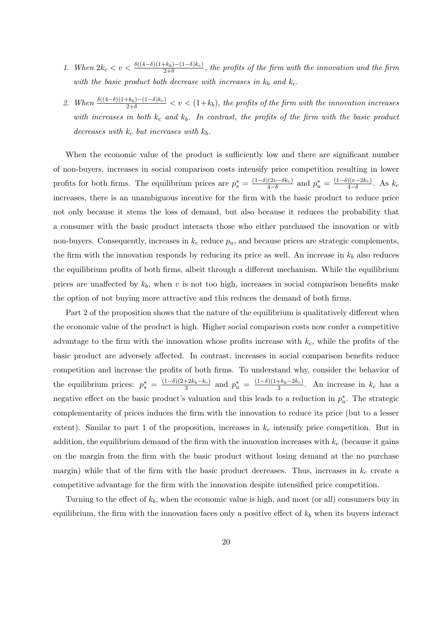- 1. When  $2k_c < v < \frac{\delta((4-\delta)(1+k_b)-(1-\delta)k_c)}{2+\delta}$ , the profits of the firm with the innovation and the firm with the basic product both decrease with increases in  $k_b$  and  $k_c$ .
- 2. When  $\frac{\delta((4-\delta)(1+k_b)-(1-\delta)k_c)}{2+\delta} < v < (1+k_b)$ , the profits of the firm with the innovation increases with increases in both  $k_c$  and  $k_b$ . In contrast, the profits of the firm with the basic product decreases with  $k_c$  but increases with  $k_b$ .

When the economic value of the product is sufficiently low and there are significant number of non-buyers, increases in social comparison costs intensify price competition resulting in lower profits for both firms. The equilibrium prices are  $p_s^* = \frac{(1-\delta)(2v-\delta k_c)}{4-\delta}$  $\frac{p_1(2v-δk_c)}{4-δ}$  and  $p_u^* = \frac{(1-δ)(v-2k_c)}{4-δ}$  $\frac{f(v-2k_c)}{4-\delta}$ . As  $k_c$ increases, there is an unambiguous incentive for the firm with the basic product to reduce price not only because it stems the loss of demand, but also because it reduces the probability that a consumer with the basic product interacts those who either purchased the innovation or with non-buyers. Consequently, increases in  $k_c$  reduce  $p_u$ , and because prices are strategic complements, the firm with the innovation responds by reducing its price as well. An increase in  $k_b$  also reduces the equilibrium profits of both firms, albeit through a different mechanism. While the equilibrium prices are unaffected by  $k_b$ , when v is not too high, increases in social comparison benefits make the option of not buying more attractive and this reduces the demand of both firms.

Part 2 of the proposition shows that the nature of the equilibrium is qualitatively different when the economic value of the product is high. Higher social comparison costs now confer a competitive advantage to the firm with the innovation whose profits increase with  $k_c$ , while the profits of the basic product are adversely affected. In contrast, increases in social comparison benefits reduce competition and increase the profits of both firms. To understand why, consider the behavior of the equilibrium prices:  $p_s^* = \frac{(1-\delta)(2+2k_b-k_c)}{3}$  $\frac{+2k_b-k_c}{3}$  and  $p_u^* = \frac{(1-\delta)(1+k_b-2k_c)}{3}$  $\frac{+ \kappa_b - 2\kappa_c}{3}$ . An increase in  $k_c$  has a negative effect on the basic product's valuation and this leads to a reduction in  $p_u^*$ . The strategic complementarity of prices induces the firm with the innovation to reduce its price (but to a lesser extent). Similar to part 1 of the proposition, increases in  $k_c$  intensify price competition. But in addition, the equilibrium demand of the firm with the innovation increases with  $k_c$  (because it gains on the margin from the firm with the basic product without losing demand at the no purchase margin) while that of the firm with the basic product decreases. Thus, increases in  $k_c$  create a competitive advantage for the firm with the innovation despite intensified price competition.

Turning to the effect of  $k_b$ , when the economic value is high, and most (or all) consumers buy in equilibrium, the firm with the innovation faces only a positive effect of  $k_b$  when its buyers interact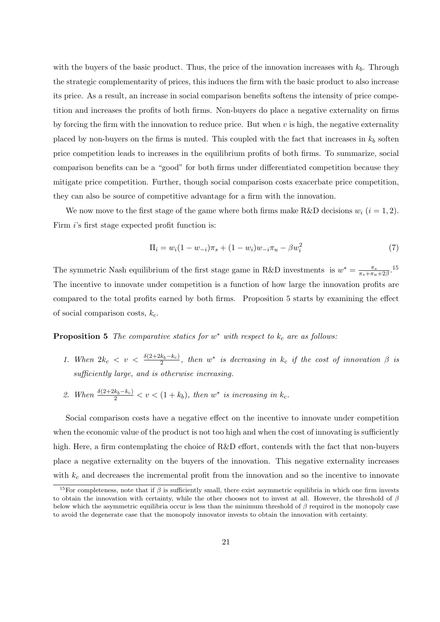with the buyers of the basic product. Thus, the price of the innovation increases with  $k_b$ . Through the strategic complementarity of prices, this induces the firm with the basic product to also increase its price. As a result, an increase in social comparison benefits softens the intensity of price competition and increases the profits of both firms. Non-buyers do place a negative externality on firms by forcing the firm with the innovation to reduce price. But when  $v$  is high, the negative externality placed by non-buyers on the firms is muted. This coupled with the fact that increases in  $k_b$  soften price competition leads to increases in the equilibrium profits of both firms. To summarize, social comparison benefits can be a "good" for both firms under differentiated competition because they mitigate price competition. Further, though social comparison costs exacerbate price competition, they can also be source of competitive advantage for a firm with the innovation.

We now move to the first stage of the game where both firms make R&D decisions  $w_i$  ( $i = 1, 2$ ). Firm i's first stage expected profit function is:

$$
\Pi_i = w_i (1 - w_{-i}) \pi_s + (1 - w_i) w_{-i} \pi_u - \beta w_i^2 \tag{7}
$$

The symmetric Nash equilibrium of the first stage game in R&D investments is  $w^* = \frac{\pi_s}{\pi_s + \pi_w}$  $\frac{\pi_s}{\pi_s + \pi_u + 2\beta}$ .<sup>15</sup> The incentive to innovate under competition is a function of how large the innovation profits are compared to the total profits earned by both firms. Proposition 5 starts by examining the effect of social comparison costs,  $k_c$ .

## **Proposition 5** The comparative statics for  $w^*$  with respect to  $k_c$  are as follows:

- 1. When  $2k_c < v < \frac{\delta(2+2k_b-k_c)}{2}$ , then w<sup>\*</sup> is decreasing in  $k_c$  if the cost of innovation  $\beta$  is sufficiently large, and is otherwise increasing.
- 2. When  $\frac{\delta(2+2k_b-k_c)}{2} < v < (1+k_b)$ , then w<sup>\*</sup> is increasing in  $k_c$ .

Social comparison costs have a negative effect on the incentive to innovate under competition when the economic value of the product is not too high and when the cost of innovating is sufficiently high. Here, a firm contemplating the choice of R&D effort, contends with the fact that non-buyers place a negative externality on the buyers of the innovation. This negative externality increases with  $k_c$  and decreases the incremental profit from the innovation and so the incentive to innovate

<sup>&</sup>lt;sup>15</sup>For completeness, note that if  $\beta$  is sufficiently small, there exist asymmetric equilibria in which one firm invests to obtain the innovation with certainty, while the other chooses not to invest at all. However, the threshold of  $\beta$ below which the asymmetric equilibria occur is less than the minimum threshold of  $\beta$  required in the monopoly case to avoid the degenerate case that the monopoly innovator invests to obtain the innovation with certainty.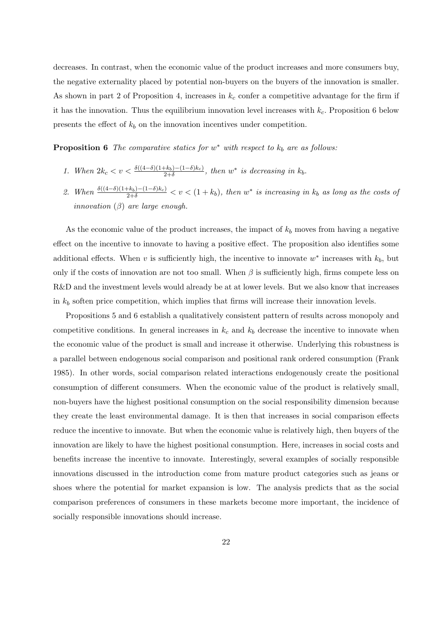decreases. In contrast, when the economic value of the product increases and more consumers buy, the negative externality placed by potential non-buyers on the buyers of the innovation is smaller. As shown in part 2 of Proposition 4, increases in  $k_c$  confer a competitive advantage for the firm if it has the innovation. Thus the equilibrium innovation level increases with  $k_c$ . Proposition 6 below presents the effect of  $k_b$  on the innovation incentives under competition.

**Proposition 6** The comparative statics for  $w^*$  with respect to  $k_b$  are as follows:

- 1. When  $2k_c < v < \frac{\delta((4-\delta)(1+k_b)-(1-\delta)k_c)}{2+\delta}$ , then w<sup>\*</sup> is decreasing in  $k_b$ .
- 2. When  $\frac{\delta((4-\delta)(1+k_b)-(1-\delta)k_c)}{2+\delta} < v < (1+k_b)$ , then w<sup>\*</sup> is increasing in  $k_b$  as long as the costs of innovation  $(\beta)$  are large enough.

As the economic value of the product increases, the impact of  $k_b$  moves from having a negative effect on the incentive to innovate to having a positive effect. The proposition also identifies some additional effects. When v is sufficiently high, the incentive to innovate  $w^*$  increases with  $k_b$ , but only if the costs of innovation are not too small. When  $\beta$  is sufficiently high, firms compete less on R&D and the investment levels would already be at at lower levels. But we also know that increases in  $k_b$  soften price competition, which implies that firms will increase their innovation levels.

Propositions 5 and 6 establish a qualitatively consistent pattern of results across monopoly and competitive conditions. In general increases in  $k_c$  and  $k_b$  decrease the incentive to innovate when the economic value of the product is small and increase it otherwise. Underlying this robustness is a parallel between endogenous social comparison and positional rank ordered consumption (Frank 1985). In other words, social comparison related interactions endogenously create the positional consumption of different consumers. When the economic value of the product is relatively small, non-buyers have the highest positional consumption on the social responsibility dimension because they create the least environmental damage. It is then that increases in social comparison effects reduce the incentive to innovate. But when the economic value is relatively high, then buyers of the innovation are likely to have the highest positional consumption. Here, increases in social costs and benefits increase the incentive to innovate. Interestingly, several examples of socially responsible innovations discussed in the introduction come from mature product categories such as jeans or shoes where the potential for market expansion is low. The analysis predicts that as the social comparison preferences of consumers in these markets become more important, the incidence of socially responsible innovations should increase.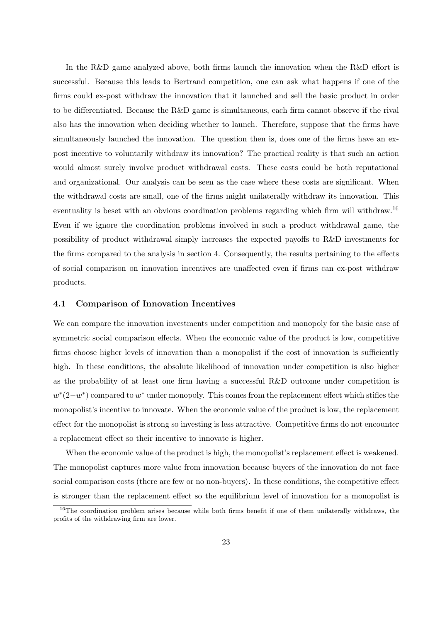In the R&D game analyzed above, both firms launch the innovation when the R&D effort is successful. Because this leads to Bertrand competition, one can ask what happens if one of the firms could ex-post withdraw the innovation that it launched and sell the basic product in order to be differentiated. Because the R&D game is simultaneous, each firm cannot observe if the rival also has the innovation when deciding whether to launch. Therefore, suppose that the firms have simultaneously launched the innovation. The question then is, does one of the firms have an expost incentive to voluntarily withdraw its innovation? The practical reality is that such an action would almost surely involve product withdrawal costs. These costs could be both reputational and organizational. Our analysis can be seen as the case where these costs are significant. When the withdrawal costs are small, one of the firms might unilaterally withdraw its innovation. This eventuality is beset with an obvious coordination problems regarding which firm will withdraw.<sup>16</sup> Even if we ignore the coordination problems involved in such a product withdrawal game, the possibility of product withdrawal simply increases the expected payoffs to R&D investments for the firms compared to the analysis in section 4. Consequently, the results pertaining to the effects of social comparison on innovation incentives are unaffected even if firms can ex-post withdraw products.

## 4.1 Comparison of Innovation Incentives

We can compare the innovation investments under competition and monopoly for the basic case of symmetric social comparison effects. When the economic value of the product is low, competitive firms choose higher levels of innovation than a monopolist if the cost of innovation is sufficiently high. In these conditions, the absolute likelihood of innovation under competition is also higher as the probability of at least one firm having a successful R&D outcome under competition is  $w^*(2-w^*)$  compared to  $w^*$  under monopoly. This comes from the replacement effect which stifles the monopolist's incentive to innovate. When the economic value of the product is low, the replacement effect for the monopolist is strong so investing is less attractive. Competitive firms do not encounter a replacement effect so their incentive to innovate is higher.

When the economic value of the product is high, the monopolist's replacement effect is weakened. The monopolist captures more value from innovation because buyers of the innovation do not face social comparison costs (there are few or no non-buyers). In these conditions, the competitive effect is stronger than the replacement effect so the equilibrium level of innovation for a monopolist is

<sup>&</sup>lt;sup>16</sup>The coordination problem arises because while both firms benefit if one of them unilaterally withdraws, the profits of the withdrawing firm are lower.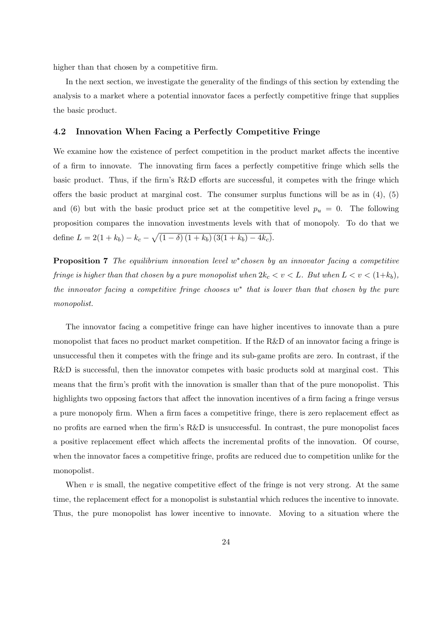higher than that chosen by a competitive firm.

In the next section, we investigate the generality of the findings of this section by extending the analysis to a market where a potential innovator faces a perfectly competitive fringe that supplies the basic product.

## 4.2 Innovation When Facing a Perfectly Competitive Fringe

We examine how the existence of perfect competition in the product market affects the incentive of a firm to innovate. The innovating firm faces a perfectly competitive fringe which sells the basic product. Thus, if the firm's R&D efforts are successful, it competes with the fringe which offers the basic product at marginal cost. The consumer surplus functions will be as in  $(4)$ ,  $(5)$ and (6) but with the basic product price set at the competitive level  $p_u = 0$ . The following proposition compares the innovation investments levels with that of monopoly. To do that we define  $L = 2(1 + k_b) - k_c - \sqrt{(1 - \delta)(1 + k_b)(3(1 + k_b) - 4k_c)}$ .

**Proposition 7** The equilibrium innovation level  $w^*$  chosen by an innovator facing a competitive fringe is higher than that chosen by a pure monopolist when  $2k_c < v < L$ . But when  $L < v < (1+k_b)$ , the innovator facing a competitive fringe chooses  $w^*$  that is lower than that chosen by the pure monopolist.

The innovator facing a competitive fringe can have higher incentives to innovate than a pure monopolist that faces no product market competition. If the R&D of an innovator facing a fringe is unsuccessful then it competes with the fringe and its sub-game profits are zero. In contrast, if the R&D is successful, then the innovator competes with basic products sold at marginal cost. This means that the firm's profit with the innovation is smaller than that of the pure monopolist. This highlights two opposing factors that affect the innovation incentives of a firm facing a fringe versus a pure monopoly firm. When a firm faces a competitive fringe, there is zero replacement effect as no profits are earned when the firm's R&D is unsuccessful. In contrast, the pure monopolist faces a positive replacement effect which affects the incremental profits of the innovation. Of course, when the innovator faces a competitive fringe, profits are reduced due to competition unlike for the monopolist.

When  $v$  is small, the negative competitive effect of the fringe is not very strong. At the same time, the replacement effect for a monopolist is substantial which reduces the incentive to innovate. Thus, the pure monopolist has lower incentive to innovate. Moving to a situation where the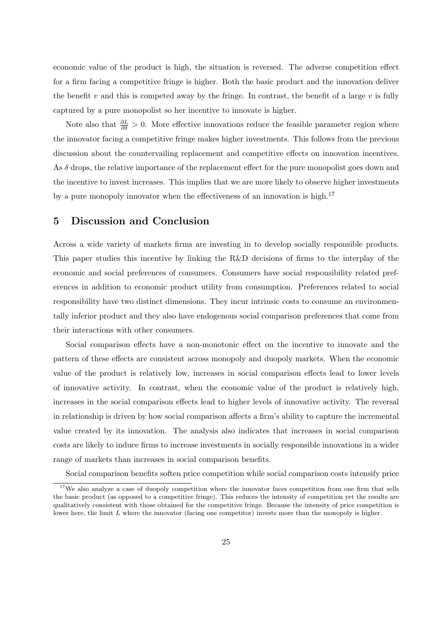economic value of the product is high, the situation is reversed. The adverse competition effect for a firm facing a competitive fringe is higher. Both the basic product and the innovation deliver the benefit v and this is competed away by the fringe. In contrast, the benefit of a large v is fully captured by a pure monopolist so her incentive to innovate is higher.

Note also that  $\frac{\partial L}{\partial \delta} > 0$ . More effective innovations reduce the feasible parameter region where the innovator facing a competitive fringe makes higher investments. This follows from the previous discussion about the countervailing replacement and competitive effects on innovation incentives. As  $\delta$  drops, the relative importance of the replacement effect for the pure monopolist goes down and the incentive to invest increases. This implies that we are more likely to observe higher investments by a pure monopoly innovator when the effectiveness of an innovation is high.<sup>17</sup>

## 5 Discussion and Conclusion

Across a wide variety of markets firms are investing in to develop socially responsible products. This paper studies this incentive by linking the R&D decisions of firms to the interplay of the economic and social preferences of consumers. Consumers have social responsibility related preferences in addition to economic product utility from consumption. Preferences related to social responsibility have two distinct dimensions. They incur intrinsic costs to consume an environmentally inferior product and they also have endogenous social comparison preferences that come from their interactions with other consumers.

Social comparison effects have a non-monotonic effect on the incentive to innovate and the pattern of these effects are consistent across monopoly and duopoly markets. When the economic value of the product is relatively low, increases in social comparison effects lead to lower levels of innovative activity. In contrast, when the economic value of the product is relatively high, increases in the social comparison effects lead to higher levels of innovative activity. The reversal in relationship is driven by how social comparison affects a firm's ability to capture the incremental value created by its innovation. The analysis also indicates that increases in social comparison costs are likely to induce firms to increase investments in socially responsible innovations in a wider range of markets than increases in social comparison benefits.

Social comparison benefits soften price competition while social comparison costs intensify price

<sup>&</sup>lt;sup>17</sup>We also analyze a case of duopoly competition where the innovator faces competition from one firm that sells the basic product (as opposed to a competitive fringe). This reduces the intensity of competition yet the results are qualitatively consistent with those obtained for the competitive fringe. Because the intensity of price competition is lower here, the limit L where the innovator (facing one competitor) invests more than the monopoly is higher.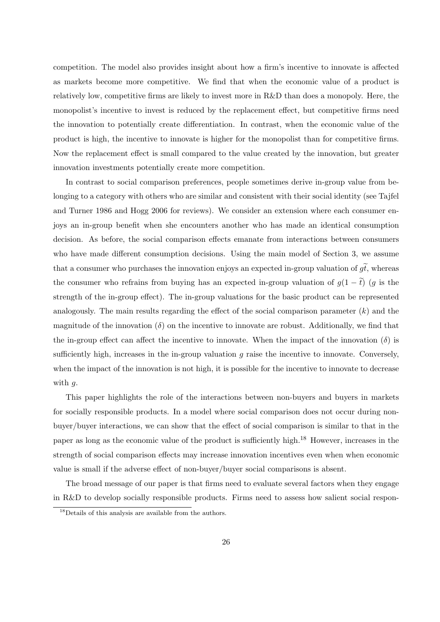competition. The model also provides insight about how a firm's incentive to innovate is affected as markets become more competitive. We find that when the economic value of a product is relatively low, competitive firms are likely to invest more in R&D than does a monopoly. Here, the monopolist's incentive to invest is reduced by the replacement effect, but competitive firms need the innovation to potentially create differentiation. In contrast, when the economic value of the product is high, the incentive to innovate is higher for the monopolist than for competitive firms. Now the replacement effect is small compared to the value created by the innovation, but greater innovation investments potentially create more competition.

In contrast to social comparison preferences, people sometimes derive in-group value from belonging to a category with others who are similar and consistent with their social identity (see Tajfel and Turner 1986 and Hogg 2006 for reviews). We consider an extension where each consumer enjoys an in-group benefit when she encounters another who has made an identical consumption decision. As before, the social comparison effects emanate from interactions between consumers who have made different consumption decisions. Using the main model of Section 3, we assume that a consumer who purchases the innovation enjoys an expected in-group valuation of  $g\tilde{t}$ , whereas the consumer who refrains from buying has an expected in-group valuation of  $g(1 - \tilde{t})$  (g is the strength of the in-group effect). The in-group valuations for the basic product can be represented analogously. The main results regarding the effect of the social comparison parameter  $(k)$  and the magnitude of the innovation  $(\delta)$  on the incentive to innovate are robust. Additionally, we find that the in-group effect can affect the incentive to innovate. When the impact of the innovation  $(\delta)$  is sufficiently high, increases in the in-group valuation  $q$  raise the incentive to innovate. Conversely, when the impact of the innovation is not high, it is possible for the incentive to innovate to decrease with  $q$ .

This paper highlights the role of the interactions between non-buyers and buyers in markets for socially responsible products. In a model where social comparison does not occur during nonbuyer/buyer interactions, we can show that the effect of social comparison is similar to that in the paper as long as the economic value of the product is sufficiently high.<sup>18</sup> However, increases in the strength of social comparison effects may increase innovation incentives even when when economic value is small if the adverse effect of non-buyer/buyer social comparisons is absent.

The broad message of our paper is that firms need to evaluate several factors when they engage in R&D to develop socially responsible products. Firms need to assess how salient social respon-

<sup>18</sup>Details of this analysis are available from the authors.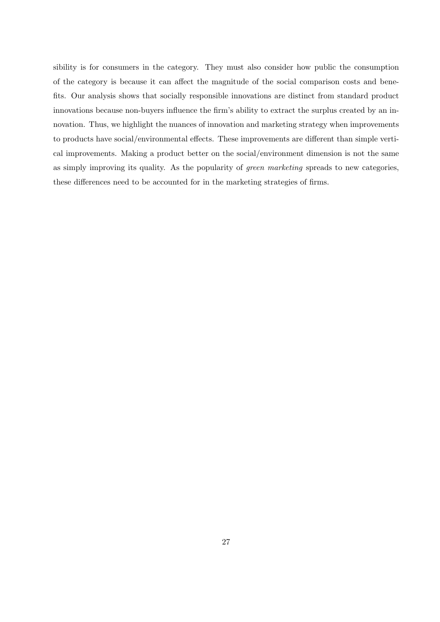sibility is for consumers in the category. They must also consider how public the consumption of the category is because it can affect the magnitude of the social comparison costs and benefits. Our analysis shows that socially responsible innovations are distinct from standard product innovations because non-buyers influence the firm's ability to extract the surplus created by an innovation. Thus, we highlight the nuances of innovation and marketing strategy when improvements to products have social/environmental effects. These improvements are different than simple vertical improvements. Making a product better on the social/environment dimension is not the same as simply improving its quality. As the popularity of green marketing spreads to new categories, these differences need to be accounted for in the marketing strategies of firms.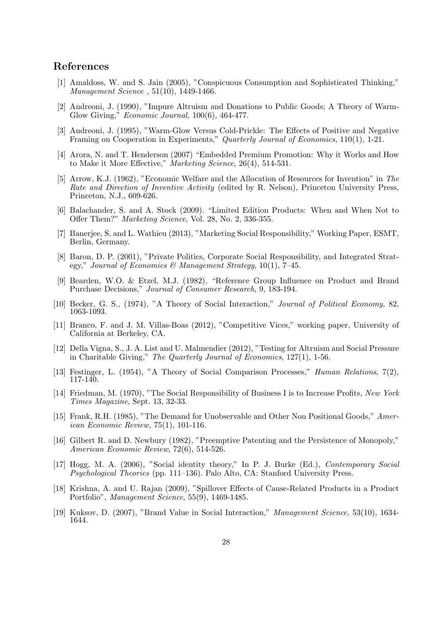## References

- [1] Amaldoss, W. and S. Jain (2005), "Conspicuous Consumption and Sophisticated Thinking," Management Science , 51(10), 1449-1466.
- [2] Andreoni, J. (1990), "Impure Altruism and Donations to Public Goods; A Theory of Warm-Glow Giving," Economic Journal, 100(6), 464-477.
- [3] Andreoni, J. (1995), "Warm-Glow Versus Cold-Prickle: The Effects of Positive and Negative Framing on Cooperation in Experiments," Quarterly Journal of Economics, 110(1), 1-21.
- [4] Arora, N. and T. Henderson (2007) "Embedded Premium Promotion: Why it Works and How to Make it More Effective," Marketing Science, 26(4), 514-531.
- [5] Arrow, K.J. (1962), "Economic Welfare and the Allocation of Resources for Invention" in The Rate and Direction of Inventive Activity (edited by R. Nelson), Princeton University Press, Princeton, N.J., 609-626.
- [6] Balachander, S. and A. Stock (2009). "Limited Edition Products: When and When Not to Offer Them?" Marketing Science, Vol. 28, No. 2, 336-355.
- [7] Banerjee, S. and L. Wathieu (2013), "Marketing Social Responsibility," Working Paper, ESMT, Berlin, Germany.
- [8] Baron, D. P. (2001), "Private Politics, Corporate Social Responsibility, and Integrated Strategy," Journal of Economics & Management Strategy, 10(1), 7-45.
- [9] Bearden, W.O. & Etzel, M.J. (1982), "Reference Group Influence on Product and Brand Purchase Decisions," Journal of Consumer Research, 9, 183-194.
- [10] Becker, G. S., (1974), "A Theory of Social Interaction," Journal of Political Economy, 82, 1063-1093.
- [11] Branco, F. and J. M. Villas-Boas (2012), "Competitive Vices," working paper, University of California at Berkeley, CA.
- [12] Della Vigna, S., J. A. List and U. Malmendier (2012), "Testing for Altruism and Social Pressure in Charitable Giving," The Quarterly Journal of Economics, 127(1), 1-56.
- [13] Festinger, L. (1954), "A Theory of Social Comparison Processes," Human Relations, 7(2), 117-140.
- [14] Friedman, M. (1970), "The Social Responsibility of Business I is to Increase Profits, New York Times Magazine, Sept. 13, 32-33.
- [15] Frank, R.H. (1985), "The Demand for Unobservable and Other Non Positional Goods," American Economic Review, 75(1), 101-116.
- [16] Gilbert R. and D. Newbury (1982), "Preemptive Patenting and the Persistence of Monopoly," American Economic Review, 72(6), 514-526.
- [17] Hogg, M. A. (2006), "Social identity theory," In P. J. Burke (Ed.), Contemporary Social Psychological Theories (pp. 111–136). Palo Alto, CA: Stanford University Press.
- [18] Krishna, A. and U. Rajan (2009), "Spillover Effects of Cause-Related Products in a Product Portfolio", Management Science, 55(9), 1469-1485.
- [19] Kuksov, D. (2007), "Brand Value in Social Interaction," Management Science, 53(10), 1634-1644.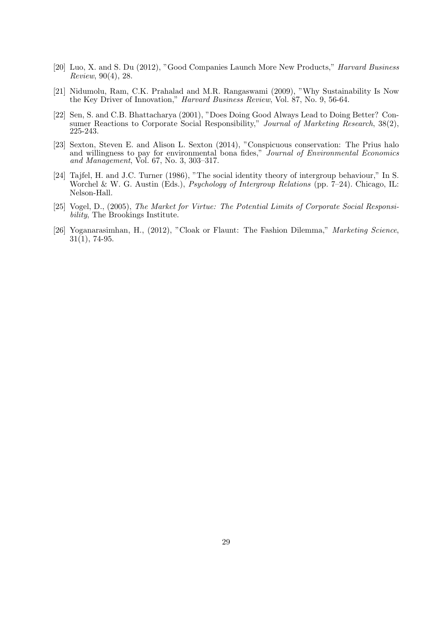- [20] Luo, X. and S. Du (2012), "Good Companies Launch More New Products," Harvard Business Review, 90(4), 28.
- [21] Nidumolu, Ram, C.K. Prahalad and M.R. Rangaswami (2009), "Why Sustainability Is Now the Key Driver of Innovation," Harvard Business Review, Vol. 87, No. 9, 56-64.
- [22] Sen, S. and C.B. Bhattacharya (2001), "Does Doing Good Always Lead to Doing Better? Consumer Reactions to Corporate Social Responsibility," Journal of Marketing Research, 38(2), 225-243.
- [23] Sexton, Steven E. and Alison L. Sexton (2014), "Conspicuous conservation: The Prius halo and willingness to pay for environmental bona fides," Journal of Environmental Economics and Management, Vol. 67, No. 3, 303–317.
- [24] Tajfel, H. and J.C. Turner (1986), "The social identity theory of intergroup behaviour," In S. Worchel & W. G. Austin (Eds.), *Psychology of Intergroup Relations* (pp. 7–24). Chicago, IL: Nelson-Hall.
- [25] Vogel, D., (2005), The Market for Virtue: The Potential Limits of Corporate Social Responsibility, The Brookings Institute.
- [26] Yoganarasimhan, H., (2012), "Cloak or Flaunt: The Fashion Dilemma," Marketing Science, 31(1), 74-95.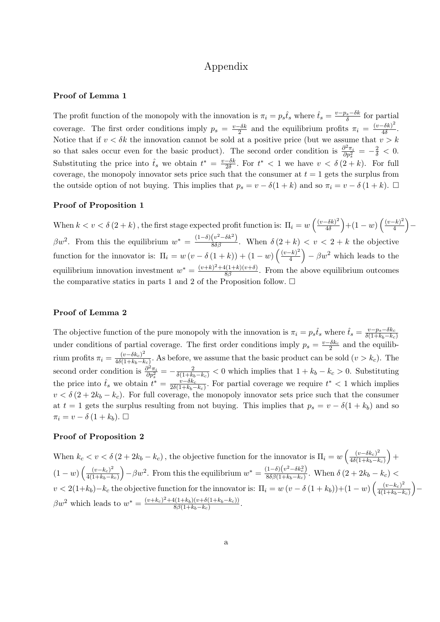## Appendix

## Proof of Lemma 1

The profit function of the monopoly with the innovation is  $\pi_i = p_s \hat{t}_s$  where  $\hat{t}_s = \frac{v - p_s - \delta k}{\delta}$  $\frac{\delta s - \delta k}{\delta}$  for partial coverage. The first order conditions imply  $p_s = \frac{v - \delta k}{2}$  $\frac{-\delta k}{2}$  and the equilibrium profits  $\pi_i = \frac{(v - \delta k)^2}{4\delta}$  $\frac{-\sigma\kappa_{j}}{4\delta}$ . Notice that if  $v < \delta k$  the innovation cannot be sold at a positive price (but we assume that  $v > k$ so that sales occur even for the basic product). The second order condition is  $\frac{\partial^2 \pi_i}{\partial p_s^2} = -\frac{2}{\delta} < 0$ . Substituting the price into  $\hat{t}_s$  we obtain  $t^* = \frac{v - \delta k}{2\delta}$  $\frac{-\delta k}{2\delta}$ . For  $t^* < 1$  we have  $v < \delta(2 + k)$ . For full coverage, the monopoly innovator sets price such that the consumer at  $t = 1$  gets the surplus from the outside option of not buying. This implies that  $p_s = v - \delta(1 + k)$  and so  $\pi_i = v - \delta(1 + k)$ .  $\Box$ 

## Proof of Proposition 1

When  $k < v < \delta(2 + k)$ , the first stage expected profit function is:  $\Pi_i = w \left( \frac{(v - \delta k)^2}{4\delta} \right)$  $\left(\frac{-(b-k)^2}{4\delta}\right) + (1-w)\left(\frac{(v-k)^2}{4}\right)$  $\frac{-(k)^2}{4}$  ) –  $\beta w^2$ . From this the equilibrium  $w^* = \frac{(1-\delta)(v^2-\delta k^2)}{8\delta\beta}$ . When  $\delta(2+k) < v < 2+k$  the objective function for the innovator is:  $\Pi_i = w (v - \delta (1 + k)) + (1 - w) \left( \frac{(v - k)^2}{4} \right)$  $\left(\frac{-k}{4}\right)^2 - \beta w^2$  which leads to the equilibrium innovation investment  $w^* = \frac{(v+k)^2 + 4(1+k)(v+\delta)}{8\beta}$  $\frac{B(1+\kappa)(v+o)}{8\beta}$ . From the above equilibrium outcomes the comparative statics in parts 1 and 2 of the Proposition follow.  $\Box$ 

## Proof of Lemma 2

The objective function of the pure monopoly with the innovation is  $\pi_i = p_s \hat{t}_s$  where  $\hat{t}_s = \frac{v - p_s - \delta k_c}{\delta (1 + k - k_c)}$  $\delta(1+k_b-k_c)$ under conditions of partial coverage. The first order conditions imply  $p_s = \frac{v - \delta k_c}{2}$  and the equilibrium profits  $\pi_i = \frac{(v - \delta k_c)^2}{4\delta(1 + k_b - k_b)}$  $\frac{(v - \delta \kappa_c)}{4\delta(1 + k_b - k_c)}$ . As before, we assume that the basic product can be sold  $(v > k_c)$ . The second order condition is  $\frac{\partial^2 \pi_i}{\partial p_s^2} = -\frac{2}{\delta(1+k_b-k_c)} < 0$  which implies that  $1+k_b-k_c > 0$ . Substituting the price into  $\hat{t}_s$  we obtain  $t^* = \frac{v - \delta k_c}{2\delta(1 + k_b - \epsilon)}$  $\frac{v - \delta k_c}{2\delta(1 + k_b - k_c)}$ . For partial coverage we require  $t^* < 1$  which implies  $v < \delta (2 + 2k_b - k_c)$ . For full coverage, the monopoly innovator sets price such that the consumer at  $t = 1$  gets the surplus resulting from not buying. This implies that  $p_s = v - \delta(1 + k_b)$  and so  $\pi_i = v - \delta (1 + k_b)$ .

#### Proof of Proposition 2

When  $k_c < v < \delta (2 + 2k_b - k_c)$ , the objective function for the innovator is  $\Pi_i = w \left( \frac{(v - \delta k_c)^2}{4 \delta (1 + k_b - k_c)} \right)$  $\overline{4\delta(1+k_b-k_c)}$  $+$  $(1-w)\left(\frac{(v-k_c)^2}{4(1+k_c-k)}\right)$  $4(1+k_b-k_c)$  $-\beta w^2$ . From this the equilibrium  $w^* = \frac{(1-\delta)(v^2-\delta k_c^2)}{8\delta\beta(1+k_c-k_c)}$  $\frac{(1-\sigma)(\nu-\sigma_{k_c})}{8\delta\beta(1+k_b-k_c)}$ . When  $\delta(2+2k_b-k_c)$  $v < 2(1+k_b)-k_c$  the objective function for the innovator is:  $\Pi_i = w(v - \delta(1+k_b)) + (1-w)\left(\frac{(v-k_c)^2}{4(1+k_c-k_b)^2}\right)$  $\overline{4(1+k_b-k_c)}$  $)$  –  $\beta w^2$  which leads to  $w^* = \frac{(v+k_c)^2 + 4(1+k_b)(v+\delta(1+k_b-k_c))}{8\beta(1+k_b-k_b)}$  $\frac{8\beta(1+k_b-k_c)}{8\beta(1+k_b-k_c)}$ .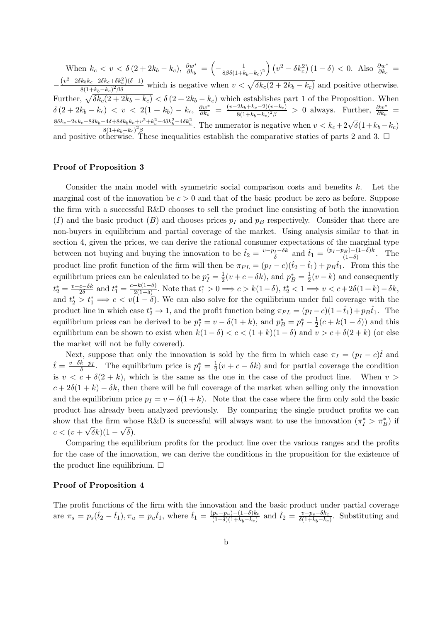When  $k_c < v < \delta (2 + 2k_b - k_c), \frac{\partial w^*}{\partial k_b} = \left(-\frac{1}{8\beta\delta(1+k_a)}\right)$  $\frac{1}{8\beta\delta(1+k_b-k_c)^2}\right)(v^2-\delta k_c^2)(1-\delta) < 0.$  Also  $\frac{\partial w^*}{\partial k_c} =$  $-\frac{(v^2-2\delta k_b k_c-2\delta k_c+\delta k_c^2)(\delta-1)}{8(1+k_c-k_c)^2 \delta s}$  $\frac{k_b k_c - 20k_c + 0k_c}{8(1 + k_b - k_c)^2 \beta \delta}$  which is negative when  $v < \sqrt{\delta k_c (2 + 2k_b - k_c)}$  and positive otherwise. Further,  $\sqrt{\delta k_c(2 + 2k_b - k_c)} < \delta (2 + 2k_b - k_c)$  which establishes part 1 of the Proposition. When  $\delta (2 + 2k_b - k_c) < v < 2(1 + k_b) - k_c, \frac{\partial w^*}{\partial k_c}$  $\frac{\partial w^*}{\partial k_c} = \frac{(v-2k_b+k_c-2)(v-k_c)}{8(1+k_b-k_c)^2\beta}$  $\frac{2k_b+k_c-2)(v-k_c)}{8(1+k_b-k_c)^2\beta} > 0$  always. Further,  $\frac{\partial w^*}{\partial k_b} =$  $\frac{8\delta k_c-2vk_c-8\delta k_b-4\delta+8\delta k_bk_c+v^2+k_c^2-4\delta k_b^2-4\delta k_c^2}{8(1+k_b-k_c)^2\beta}$ . The numerator is negative when  $v < k_c+2\sqrt{\delta}(1+k_b-k_c)$ and positive otherwise. These inequalities establish the comparative statics of parts 2 and 3.  $\Box$ 

## Proof of Proposition 3

Consider the main model with symmetric social comparison costs and benefits  $k$ . Let the marginal cost of the innovation be  $c > 0$  and that of the basic product be zero as before. Suppose the firm with a successful R&D chooses to sell the product line consisting of both the innovation (I) and the basic product (B) and chooses prices  $p_I$  and  $p_B$  respectively. Consider that there are non-buyers in equilibrium and partial coverage of the market. Using analysis similar to that in section 4, given the prices, we can derive the rational consumer expectations of the marginal type between not buying and buying the innovation to be  $\hat{t}_2 = \frac{v - p_I - \delta k}{\delta}$  and  $\hat{t}_1 = \frac{(p_I - p_B) - (1 - \delta)k}{(1 - \delta)}$  $(1-\delta)$ . The product line profit function of the firm will then be  $\pi_{PL} = (p_I - c)(\hat{t}_2 - \hat{t}_1) + p_B \hat{t}_1$ . From this the equilibrium prices can be calculated to be  $p_I^* = \frac{1}{2}$  $\frac{1}{2}(v+c-\delta k)$ , and  $p_B^* = \frac{1}{2}$  $\frac{1}{2}(v-k)$  and consequently  $t_2^* = \frac{v-c-\delta k}{2\delta}$  $rac{c-\delta k}{2\delta}$  and  $t_1^* = \frac{c-k(1-\delta)}{2(1-\delta)}$  $\frac{-k(1-\delta)}{2(1-\delta)}$ . Note that  $t_1^* > 0 \Longrightarrow c > k(1-\delta)$ ,  $t_2^* < 1 \Longrightarrow v < c + 2\delta(1+k) - \delta k$ , and  $t_2^* > t_1^* \implies c < v(1 - \delta)$ . We can also solve for the equilibrium under full coverage with the product line in which case  $t_2^* \to 1$ , and the profit function being  $\pi_{PL} = (p_I - c)(1 - \hat{t}_1) + p_B \hat{t}_1$ . The equilibrium prices can be derived to be  $p_I^* = v - \delta(1 + k)$ , and  $p_B^* = p_I^* - \frac{1}{2}$  $\frac{1}{2}(c + k(1 - \delta))$  and this equilibrium can be shown to exist when  $k(1 - \delta) < c < (1 + k)(1 - \delta)$  and  $v > c + \delta(2 + k)$  (or else the market will not be fully covered).

Next, suppose that only the innovation is sold by the firm in which case  $\pi_I = (p_I - c)\hat{t}$  and  $\hat{t} = \frac{v - \delta k - p_I}{\delta}$ . The equilibrium price is  $p_I^* = \frac{1}{2}$  $\frac{1}{2}(v + c - \delta k)$  and for partial coverage the condition is  $v < c + \delta(2 + k)$ , which is the same as the one in the case of the product line. When  $v >$  $c + 2\delta(1 + k) - \delta k$ , then there will be full coverage of the market when selling only the innovation and the equilibrium price  $p_I = v - \delta(1 + k)$ . Note that the case where the firm only sold the basic product has already been analyzed previously. By comparing the single product profits we can show that the firm whose R&D is successful will always want to use the innovation  $(\pi_I^* > \pi_B^*)$  if  $c < (v + \sqrt{\delta k})(1 - \sqrt{\delta}).$ 

Comparing the equilibrium profits for the product line over the various ranges and the profits for the case of the innovation, we can derive the conditions in the proposition for the existence of the product line equilibrium.  $\square$ 

## Proof of Proposition 4

The profit functions of the firm with the innovation and the basic product under partial coverage are  $\pi_s = p_s(\hat{t}_2 - \hat{t}_1), \pi_u = p_u \hat{t}_1$ , where  $\hat{t}_1 = \frac{(p_s - p_u) - (1 - \delta)k_c}{(1 - \delta)(1 + k_s - k_c)}$  $\frac{(p_s-p_u)-(1-\delta)k_c}{(1-\delta)(1+k_b-k_c)}$  and  $\hat{t}_2 = \frac{v-p_s-\delta k_c}{\delta(1+k_b-k_c)}$  $\frac{v-p_s-\delta\kappa_c}{\delta(1+k_b-k_c)}$ . Substituting and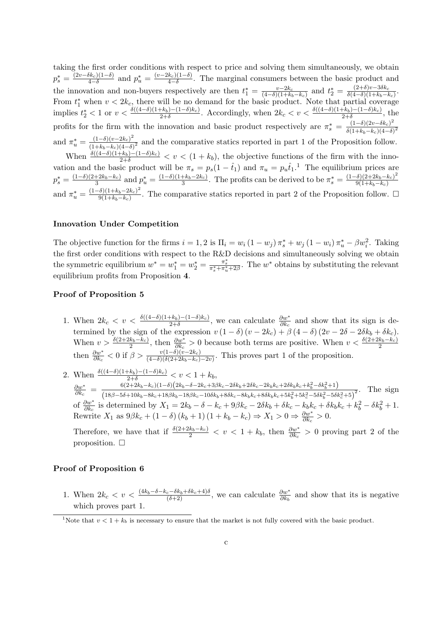taking the first order conditions with respect to price and solving them simultaneously, we obtain  $p_s^* = \frac{(2v - \delta k_c)(1 - \delta)}{4 - \delta}$  $\frac{\delta k_c(1-\delta)}{4-\delta}$  and  $p_u^* = \frac{(v-2k_c)(1-\delta)}{4-\delta}$  $\frac{\kappa_{c}(1-\delta)}{4-\delta}$ . The marginal consumers between the basic product and the innovation and non-buyers respectively are then  $t_1^* = \frac{v-2k_c}{(4-\delta)(1+k_c)}$  $\frac{v-2k_c}{(4-\delta)(1+k_b-k_c)}$  and  $t_2^* = \frac{(2+\delta)v-3\delta k_c}{\delta(4-\delta)(1+k_b-k_c)}$  $\frac{(2+0)v-3\delta k_c}{\delta(4-\delta)(1+k_b-k_c)}$ From  $t_1^*$  when  $v < 2k_c$ , there will be no demand for the basic product. Note that partial coverage implies  $t_2^* < 1$  or  $v < \frac{\delta((4-\delta)(1+k_b)-(1-\delta)k_c)}{2+\delta}$ . Accordingly, when  $2k_c < v < \frac{\delta((4-\delta)(1+k_b)-(1-\delta)k_c)}{2+\delta}$ , the profits for the firm with the innovation and basic product respectively are  $\pi_s^* = \frac{(1-\delta)(2v-\delta k_c)^2}{\delta(1+k_c-k_c)(4-\delta)^2}$  $\delta(1+k_b-k_c)(4-\delta)^2$ and  $\pi_u^* = \frac{(1-\delta)(v-2k_c)^2}{(1+k_c-k_c)(4-\delta)^2}$  $\frac{(1-\delta)(v-2\kappa_c)}{(1+k_b-k_c)(4-\delta)^2}$  and the comparative statics reported in part 1 of the Proposition follow. When  $\frac{\delta((4-\delta)(1+k_b)-(1-\delta)k_c)}{2+\delta} < v < (1+k_b)$ , the objective functions of the firm with the innovation and the basic product will be  $\pi_s = p_s(1 - \hat{t}_1)$  and  $\pi_u = p_u \hat{t}_1$ .<sup>1</sup> The equilibrium prices are  $p_s^* = \frac{(1-\delta)(2+2k_b-k_c)}{3}$  $\frac{+2k_b-k_c}{3}$  and  $p_u^* = \frac{(1-\delta)(1+k_b-2k_c)}{3}$  $\frac{1+k_b-2k_c}{3}$ . The profits can be derived to be  $\pi_s^* = \frac{(1-\delta)(2+2k_b-k_c)^2}{9(1+k_b-k_c)}$  $9(1+k_b-k_c)$ and  $\pi_u^* = \frac{(1-\delta)(1+k_b-2k_c)^2}{9(1+k_b-k_c)}$  $\frac{\delta(1+k_b-2k_c)^2}{9(1+k_b-k_c)}$ . The comparative statics reported in part 2 of the Proposition follow.  $\Box$ 

## Innovation Under Competition

The objective function for the firms  $i = 1, 2$  is  $\Pi_i = w_i (1 - w_j) \pi_s^* + w_j (1 - w_i) \pi_u^* - \beta w_i^2$ . Taking the first order conditions with respect to the R&D decisions and simultaneously solving we obtain the symmetric equilibrium  $w^* = w_1^* = w_2^* = \frac{\pi_s^*}{\pi_s^* + \pi_u^* + 2\beta}$ . The  $w^*$  obtains by substituting the relevant equilibrium profits from Proposition 4.

## Proof of Proposition 5

- 1. When  $2k_c < v < \frac{\delta((4-\delta)(1+k_b)-(1-\delta)k_c)}{2+\delta}$ , we can calculate  $\frac{\partial w^*}{\partial k_c}$  and show that its sign is determined by the sign of the expression  $v(1 - \delta)(v - 2k_c) + \beta(4 - \delta)(2v - 2\delta - 2\delta k_b + \delta k_c)$ . When  $v > \frac{\delta(2+2k_b-k_c)}{2}$ , then  $\frac{\partial w^*}{\partial k_c} > 0$  because both terms are positive. When  $v < \frac{\delta(2+2k_b-k_c)}{2}$ <br>then  $\frac{\partial w^*}{\partial k_c} < 0$  if  $\beta > \frac{v(1-\delta)(v-2k_c)}{(4-\delta)(\delta(2+2k_b-k_c)-2v)}$ . This proves part 1 of the proposition.
- 2. When  $\frac{\delta((4-\delta)(1+k_b)-(1-\delta)k_c)}{2+\delta} < v < 1+k_b$ , ∂w<sup>∗</sup>  $\frac{\partial w^*}{\partial k_c} = \frac{6(2+2k_b-k_c)(1-\delta)(2k_b-\delta-2k_c+3\beta k_c-2\delta k_b+2\delta k_c-2k_bk_c+k_b^2-\delta k_b^2+1)}{(18\beta-5\delta+10k_b-8k_b+18\beta k_b-18\beta k_c-10\delta k_b+8\delta k_c-8k_bk_c+8\delta k_bk_c+k_b^2+5\delta k^2-5\delta k^2-5\delta k^2-5\delta k^2-5\delta k^2-5\delta k^2-5\delta k^2-5\delta k^2-5\delta k^2-5\delta k^2-5\delta k^2-5\$  $\frac{(18\beta-5\delta+10k_b-8k_c+18\beta k_b-18\beta k_c-10\delta k_b+8\delta k_c-8k_bk_c+8\delta k_bk_c+5k_b^2+5k_c^2-5\delta k_b^2-5\delta k_c^2+5)^2}{(18\beta-5\delta+10k_b-8k_c+18\beta k_b-18\beta k_c-10\delta k_b+8\delta k_c-8k_bk_c+8\delta k_bk_c+5k_b^2+5k_c^2-5\delta k_b^2-5\delta k_c^2+5)^2}$ . The sign of  $\frac{\partial w^*}{\partial k_c}$  is determined by  $X_1 = 2k_b - \delta - k_c + 9\beta k_c - 2\delta k_b + \delta k_c - k_b k_c + \delta k_b k_c + k_b^2 - \delta k_b^2 + 1$ . Rewrite  $X_1$  as  $9\beta k_c + (1 - \delta)(k_b + 1)(1 + k_b - k_c) \Rightarrow X_1 > 0 \Rightarrow \frac{\partial w^*}{\partial k_c} > 0.$

Therefore, we have that if  $\frac{\delta(2+2k_b-k_c)}{2} < v < 1+k_b$ , then  $\frac{\partial w^*}{\partial k_c} > 0$  proving part 2 of the proposition.  $\Box$ 

#### Proof of Proposition 6

1. When  $2k_c < v < \frac{(4k_b-\delta-k_c-\delta k_b+\delta k_c+4)\delta}{(\delta+2)}$ , we can calculate  $\frac{\partial w^*}{\partial k_b}$  and show that its is negative which proves part 1.

<sup>&</sup>lt;sup>1</sup>Note that  $v < 1 + k_b$  is necessary to ensure that the market is not fully covered with the basic product.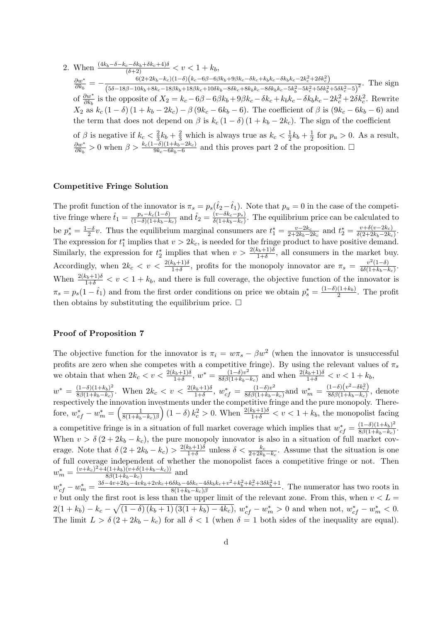2. When  $\frac{(4k_b-\delta-k_c-\delta k_b+\delta k_c+4)\delta}{(\delta+2)} < v < 1 + k_b$ ,

∂w<sup>∗</sup>  $\frac{\partial w^*}{\partial k_b} = -\frac{6(2+2k_b-k_c)(1-\delta)\left(k_c-6\beta-\beta\beta k_b+9\beta k_c-\delta k_c+k_bk_c-\delta k_bk_c-2k_c^2+2\delta k_c^2\right)}{(5\delta-18\beta-10k_b+8k_c-18\beta k_b+18\beta k_c+10\delta k_b-8\delta k_c+8k_bk_c-8\delta k_kk_c-5k_c^2-5k_c^2+5\delta k_c^2)}$  $\frac{6(2+2\kappa_b-\kappa_c)(1-\sigma)(\kappa_c-\sigma_b-\sigma_b\kappa_b+\sigma_b\kappa_c-\sigma_c+\kappa_b\kappa_c-\sigma_c\kappa_c+\sigma_c\kappa_c-\sigma_c\kappa_c+\sigma_c\kappa_c)}{5\delta-18\beta-10\kappa_b+8\kappa_c-18\beta k_b+18\beta k_c+10\delta k_b-8\delta k_c+8k_bk_c-8\delta k_bk_c-5k_b^2-5k_c^2+5\delta k_b^2+5\delta k_c^2-5)^2}$ . The sign of  $\frac{\partial w^*}{\partial k_b}$  is the opposite of  $X_2 = k_c - 6\beta - 6\beta k_b + 9\beta k_c - \delta k_c + k_bk_c - \delta k_bk_c - 2k_c^2 + 2\delta k_c^2$ . Rewrite  $X_2$  as  $k_c (1 - \delta) (1 + k_b - 2k_c) - \beta (9k_c - 6k_b - 6)$ . The coefficient of  $\beta$  is  $(9k_c - 6k_b - 6)$  and the term that does not depend on  $\beta$  is  $k_c (1 - \delta) (1 + k_b - 2k_c)$ . The sign of the coefficient of  $\beta$  is negative if  $k_c < \frac{2}{3}$  $\frac{2}{3}k_b + \frac{2}{3}$  which is always true as  $k_c < \frac{1}{2}$  $\frac{1}{2}k_b + \frac{1}{2}$  $\frac{1}{2}$  for  $p_u > 0$ . As a result, ∂w<sup>∗</sup>  $\frac{\partial w^*}{\partial k_b} > 0$  when  $\beta > \frac{k_c(1-\delta)(1+k_b-2k_c)}{9k_c-6k_b-6}$  and this proves part 2 of the proposition.  $\Box$ 

#### Competitive Fringe Solution

The profit function of the innovator is  $\pi_s = p_s(\hat{t}_2 - \hat{t}_1)$ . Note that  $p_u = 0$  in the case of the competitive fringe where  $\hat{t}_1 = \frac{p_s - k_c(1-\delta)}{(1-\delta)(1+k_b-k_b)}$  $\frac{p_s - k_c(1-\delta)}{(1-\delta)(1+k_b-k_c)}$  and  $\hat{t}_2 = \frac{(v-\delta k_c-p_s)}{\delta(1+k_b-k_c)}$  $\frac{(v - \delta \kappa_c - p_s)}{\delta (1 + k_b - k_c)}$ . The equilibrium price can be calculated to be  $p_s^* = \frac{1-\delta}{2}$  $\frac{-\delta}{2}v$ . Thus the equilibrium marginal consumers are  $t_1^* = \frac{v - 2k_c}{2 + 2k_b - 2}$  $\frac{v-2k_c}{2+2k_b-2k_c}$  and  $t_2^* = \frac{v+\delta(v-2k_c)}{\delta(2+2k_b-2k_c)}$  $\frac{v+o(v-2k_c)}{\delta(2+2k_b-2k_c)}$ The expression for  $t_1^*$  implies that  $v > 2k_c$ , is needed for the fringe product to have positive demand. Similarly, the expression for  $t_2^*$  implies that when  $v > \frac{2(k_b+1)\delta}{1+\delta}$ , all consumers in the market buy. Accordingly, when  $2k_c < v < \frac{2(k_b+1)\delta}{1+\delta}$ , profits for the monopoly innovator are  $\pi_s = \frac{v^2(1-\delta)}{4\delta(1+k_b-i)}$  $\frac{v^-(1-o)}{4\delta(1+k_b-k_c)}$ . When  $\frac{2(k_b+1)\delta}{1+\delta} < v < 1+k_b$ , and there is full coverage, the objective function of the innovator is  $\pi_s = p_s(1 - \hat{t}_1)$  and from the first order conditions on price we obtain  $p_s^* = \frac{(1-\delta)(1+k_b)}{2}$  $\frac{(1+k_b)}{2}$ . The profit then obtains by substituting the equilibrium price.  $\Box$ 

## Proof of Proposition 7

The objective function for the innovator is  $\pi_i = w\pi_s - \beta w^2$  (when the innovator is unsuccessful profits are zero when she competes with a competitive fringe). By using the relevant values of  $\pi_s$ we obtain that when  $2k_c < v < \frac{2(k_b+1)\delta}{1+\delta}$ ,  $w^* = \frac{(1-\delta)v^2}{8\delta\beta(1+k_b-1)}$  $\frac{(1-\delta)v^2}{8\delta\beta(1+k_b-k_c)}$  and when  $\frac{2(k_b+1)\delta}{1+\delta} < v < 1+k_b$ ,  $w^* = \frac{(1-\delta)(1+k_b)^2}{8\beta(1+k_b-k_b)}$  $\frac{(1-\delta)(1+k_b)^2}{8\beta(1+k_b-k_c)}$ . When  $2k_c < v < \frac{2(k_b+1)\delta}{1+\delta}$ ,  $w_{cf}^* = \frac{(1-\delta)v^2}{8\delta\beta(1+k_b-k_c)}$  $\frac{(1-\delta)v^2}{8\delta\beta(1+k_b-k_c)}$  and  $w_m^* = \frac{(1-\delta)(v^2-\delta k_c^2)}{8\delta\beta(1+k_b-k_c)}$  $\frac{(1-\sigma)(v-\sigma\kappa_c)}{8\delta\beta(1+k_b-k_c)},$  denote respectively the innovation investments under the competitive fringe and the pure monopoly. Therefore,  $w_{cf}^* - w_m^* = \left(\frac{1}{8(1+k_b)^2}\right)$  $\overline{8(1+k_b-k_c)}\beta$  $(1 - \delta) k_c^2 > 0$ . When  $\frac{2(k_b+1)\delta}{1+\delta} < v < 1 + k_b$ , the monopolist facing a competitive fringe is in a situation of full market coverage which implies that  $w_{cf}^* = \frac{(1-\delta)(1+k_b)^2}{8\beta(1+k_b-k_c)}$  $\frac{(1 - o)(1 + \kappa_b)^{-}}{8\beta(1 + k_b - k_c)}$ When  $v > \delta (2 + 2k_b - k_c)$ , the pure monopoly innovator is also in a situation of full market coverage. Note that  $\delta(2+2k_b-k_c) > \frac{2(k_b+1)\delta}{1+\delta}$  $\frac{k_b+1}{1+\delta}$  unless  $\delta < \frac{k_c}{2+2k_b-k_c}$ . Assume that the situation is one of full coverage independent of whether the monopolist faces a competitive fringe or not. Then  $w_m^* = \frac{(v+k_c)^2 + 4(1+k_b)(v+\delta(1+k_b-k_c))}{8\beta(1+k_b-k_c)}$  $\frac{k(1+k_b)(v+o(1+k_b-k_c))}{8\beta(1+k_b-k_c)}$  and

 $w_{cf}^* - w_m^* = \frac{3\delta - 4v + 2k_b - 4vk_b + 2vk_c + 6\delta k_b - 4\delta k_c - 4\delta k_bk_c + v^2 + k_b^2 + k_c^2 + 3\delta k_b^2 + 1}{8(1 + k_b - k_c)\beta}$  $\frac{80k_b-40k_c-40k_bk_c+v}{8(1+k_b-k_c)\beta}$ . The numerator has two roots in v but only the first root is less than the upper limit of the relevant zone. From this, when  $v < L =$  $2(1+k_b)-k_c-\sqrt{(1-\delta)(k_b+1)(3(1+k_b)-4k_c)}$ ,  $w_{cf}^* - w_m^* > 0$  and when not,  $w_{cf}^* - w_m^* < 0$ . The limit  $L > \delta(2 + 2k_b - k_c)$  for all  $\delta < 1$  (when  $\delta = 1$  both sides of the inequality are equal).